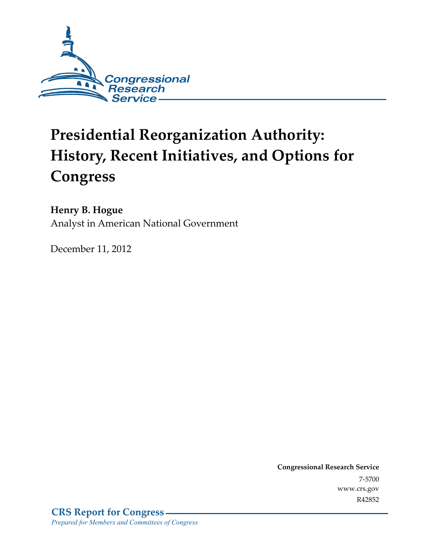

# **Presidential Reorganization Authority: History, Recent Initiatives, and Options for Congress**

### **Henry B. Hogue**

Analyst in American National Government

December 11, 2012

**Congressional Research Service**  7-5700 www.crs.gov R42852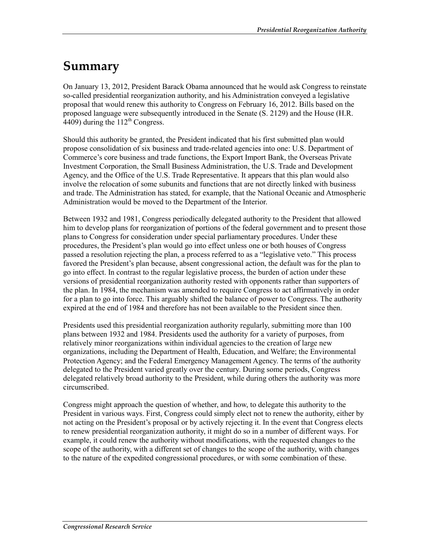## **Summary**

On January 13, 2012, President Barack Obama announced that he would ask Congress to reinstate so-called presidential reorganization authority, and his Administration conveyed a legislative proposal that would renew this authority to Congress on February 16, 2012. Bills based on the proposed language were subsequently introduced in the Senate (S. 2129) and the House (H.R.  $4409$ ) during the  $112<sup>th</sup>$  Congress.

Should this authority be granted, the President indicated that his first submitted plan would propose consolidation of six business and trade-related agencies into one: U.S. Department of Commerce's core business and trade functions, the Export Import Bank, the Overseas Private Investment Corporation, the Small Business Administration, the U.S. Trade and Development Agency, and the Office of the U.S. Trade Representative. It appears that this plan would also involve the relocation of some subunits and functions that are not directly linked with business and trade. The Administration has stated, for example, that the National Oceanic and Atmospheric Administration would be moved to the Department of the Interior.

Between 1932 and 1981, Congress periodically delegated authority to the President that allowed him to develop plans for reorganization of portions of the federal government and to present those plans to Congress for consideration under special parliamentary procedures. Under these procedures, the President's plan would go into effect unless one or both houses of Congress passed a resolution rejecting the plan, a process referred to as a "legislative veto." This process favored the President's plan because, absent congressional action, the default was for the plan to go into effect. In contrast to the regular legislative process, the burden of action under these versions of presidential reorganization authority rested with opponents rather than supporters of the plan. In 1984, the mechanism was amended to require Congress to act affirmatively in order for a plan to go into force. This arguably shifted the balance of power to Congress. The authority expired at the end of 1984 and therefore has not been available to the President since then.

Presidents used this presidential reorganization authority regularly, submitting more than 100 plans between 1932 and 1984. Presidents used the authority for a variety of purposes, from relatively minor reorganizations within individual agencies to the creation of large new organizations, including the Department of Health, Education, and Welfare; the Environmental Protection Agency; and the Federal Emergency Management Agency. The terms of the authority delegated to the President varied greatly over the century. During some periods, Congress delegated relatively broad authority to the President, while during others the authority was more circumscribed.

Congress might approach the question of whether, and how, to delegate this authority to the President in various ways. First, Congress could simply elect not to renew the authority, either by not acting on the President's proposal or by actively rejecting it. In the event that Congress elects to renew presidential reorganization authority, it might do so in a number of different ways. For example, it could renew the authority without modifications, with the requested changes to the scope of the authority, with a different set of changes to the scope of the authority, with changes to the nature of the expedited congressional procedures, or with some combination of these.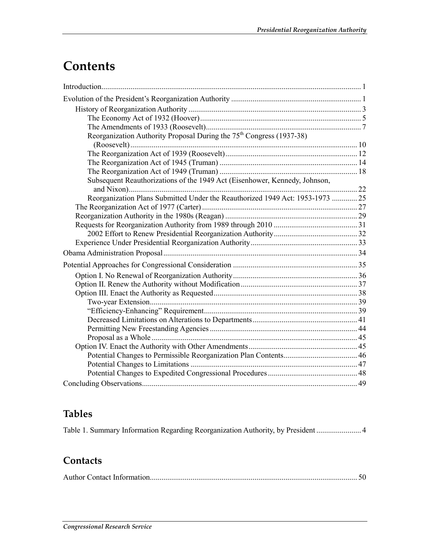## **Contents**

| Reorganization Authority Proposal During the 75 <sup>th</sup> Congress (1937-38) |  |
|----------------------------------------------------------------------------------|--|
|                                                                                  |  |
|                                                                                  |  |
|                                                                                  |  |
|                                                                                  |  |
| Subsequent Reauthorizations of the 1949 Act (Eisenhower, Kennedy, Johnson,       |  |
| Reorganization Plans Submitted Under the Reauthorized 1949 Act: 1953-1973  25    |  |
|                                                                                  |  |
|                                                                                  |  |
|                                                                                  |  |
|                                                                                  |  |
|                                                                                  |  |
|                                                                                  |  |
|                                                                                  |  |
|                                                                                  |  |
|                                                                                  |  |
|                                                                                  |  |
|                                                                                  |  |
|                                                                                  |  |
|                                                                                  |  |
|                                                                                  |  |
|                                                                                  |  |
|                                                                                  |  |
|                                                                                  |  |
|                                                                                  |  |
|                                                                                  |  |
|                                                                                  |  |

### **Tables**

Table 1. Summary Information Regarding Reorganization Authority, by President ....................... 4

### **Contacts**

|--|--|--|--|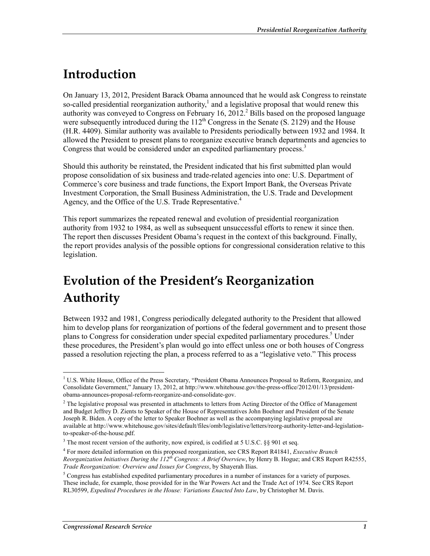## **Introduction**

On January 13, 2012, President Barack Obama announced that he would ask Congress to reinstate so-called presidential reorganization authority,<sup>1</sup> and a legislative proposal that would renew this authority was conveyed to Congress on February 16,  $2012<sup>2</sup>$  Bills based on the proposed language were subsequently introduced during the  $112<sup>th</sup>$  Congress in the Senate (S. 2129) and the House (H.R. 4409). Similar authority was available to Presidents periodically between 1932 and 1984. It allowed the President to present plans to reorganize executive branch departments and agencies to Congress that would be considered under an expedited parliamentary process.<sup>3</sup>

Should this authority be reinstated, the President indicated that his first submitted plan would propose consolidation of six business and trade-related agencies into one: U.S. Department of Commerce's core business and trade functions, the Export Import Bank, the Overseas Private Investment Corporation, the Small Business Administration, the U.S. Trade and Development Agency, and the Office of the U.S. Trade Representative.<sup>4</sup>

This report summarizes the repeated renewal and evolution of presidential reorganization authority from 1932 to 1984, as well as subsequent unsuccessful efforts to renew it since then. The report then discusses President Obama's request in the context of this background. Finally, the report provides analysis of the possible options for congressional consideration relative to this legislation.

## **Evolution of the President's Reorganization Authority**

Between 1932 and 1981, Congress periodically delegated authority to the President that allowed him to develop plans for reorganization of portions of the federal government and to present those plans to Congress for consideration under special expedited parliamentary procedures.<sup>5</sup> Under these procedures, the President's plan would go into effect unless one or both houses of Congress passed a resolution rejecting the plan, a process referred to as a "legislative veto." This process

<sup>&</sup>lt;sup>1</sup> U.S. White House, Office of the Press Secretary, "President Obama Announces Proposal to Reform, Reorganize, and Consolidate Government," January 13, 2012, at http://www.whitehouse.gov/the-press-office/2012/01/13/presidentobama-announces-proposal-reform-reorganize-and-consolidate-gov.

 $2$  The legislative proposal was presented in attachments to letters from Acting Director of the Office of Management and Budget Jeffrey D. Zients to Speaker of the House of Representatives John Boehner and President of the Senate Joseph R. Biden. A copy of the letter to Speaker Boehner as well as the accompanying legislative proposal are available at http://www.whitehouse.gov/sites/default/files/omb/legislative/letters/reorg-authority-letter-and-legislationto-speaker-of-the-house.pdf.

 $3$  The most recent version of the authority, now expired, is codified at 5 U.S.C. §§ 901 et seq.

<sup>4</sup> For more detailed information on this proposed reorganization, see CRS Report R41841, *Executive Branch Reorganization Initiatives During the 112th Congress: A Brief Overview*, by Henry B. Hogue; and CRS Report R42555, *Trade Reorganization: Overview and Issues for Congress*, by Shayerah Ilias.

<sup>&</sup>lt;sup>5</sup> Congress has established expedited parliamentary procedures in a number of instances for a variety of purposes. These include, for example, those provided for in the War Powers Act and the Trade Act of 1974. See CRS Report RL30599, *Expedited Procedures in the House: Variations Enacted Into Law*, by Christopher M. Davis.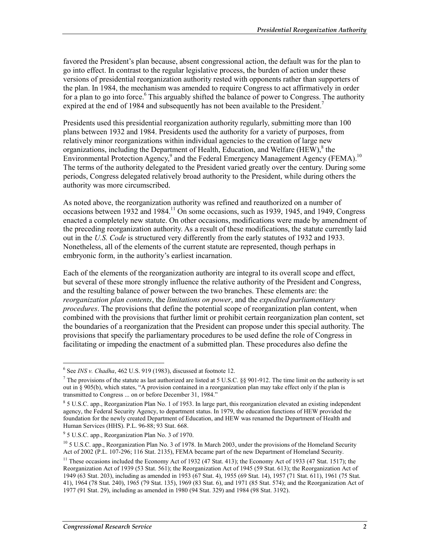favored the President's plan because, absent congressional action, the default was for the plan to go into effect. In contrast to the regular legislative process, the burden of action under these versions of presidential reorganization authority rested with opponents rather than supporters of the plan. In 1984, the mechanism was amended to require Congress to act affirmatively in order for a plan to go into force.<sup>6</sup> This arguably shifted the balance of power to Congress. The authority expired at the end of 1984 and subsequently has not been available to the President.<sup>7</sup>

Presidents used this presidential reorganization authority regularly, submitting more than 100 plans between 1932 and 1984. Presidents used the authority for a variety of purposes, from relatively minor reorganizations within individual agencies to the creation of large new organizations, including the Department of Health, Education, and Welfare  $(HEW)$ ,  $8$  the Environmental Protection Agency,<sup>9</sup> and the Federal Emergency Management Agency (FEMA).<sup>10</sup> The terms of the authority delegated to the President varied greatly over the century. During some periods, Congress delegated relatively broad authority to the President, while during others the authority was more circumscribed.

As noted above, the reorganization authority was refined and reauthorized on a number of occasions between 1932 and 1984.<sup>11</sup> On some occasions, such as 1939, 1945, and 1949, Congress enacted a completely new statute. On other occasions, modifications were made by amendment of the preceding reorganization authority. As a result of these modifications, the statute currently laid out in the *U.S. Code* is structured very differently from the early statutes of 1932 and 1933. Nonetheless, all of the elements of the current statute are represented, though perhaps in embryonic form, in the authority's earliest incarnation.

Each of the elements of the reorganization authority are integral to its overall scope and effect, but several of these more strongly influence the relative authority of the President and Congress, and the resulting balance of power between the two branches. These elements are: the *reorganization plan contents*, the *limitations on power*, and the *expedited parliamentary procedures*. The provisions that define the potential scope of reorganization plan content, when combined with the provisions that further limit or prohibit certain reorganization plan content, set the boundaries of a reorganization that the President can propose under this special authority. The provisions that specify the parliamentary procedures to be used define the role of Congress in facilitating or impeding the enactment of a submitted plan. These procedures also define the

<u>.</u>

 $6$  See *INS v. Chadha*, 462 U.S. 919 (1983), discussed at footnote 12.

<sup>&</sup>lt;sup>7</sup> The provisions of the statute as last authorized are listed at 5 U.S.C. §§ 901-912. The time limit on the authority is set out in § 905(b), which states, "A provision contained in a reorganization plan may take effect only if the plan is transmitted to Congress ... on or before December 31, 1984."

<sup>8</sup> 5 U.S.C. app., Reorganization Plan No. 1 of 1953. In large part, this reorganization elevated an existing independent agency, the Federal Security Agency, to department status. In 1979, the education functions of HEW provided the foundation for the newly created Department of Education, and HEW was renamed the Department of Health and Human Services (HHS). P.L. 96-88; 93 Stat. 668.

<sup>9</sup> 5 U.S.C. app., Reorganization Plan No. 3 of 1970.

<sup>&</sup>lt;sup>10</sup> 5 U.S.C. app., Reorganization Plan No. 3 of 1978. In March 2003, under the provisions of the Homeland Security Act of 2002 (P.L. 107-296; 116 Stat. 2135), FEMA became part of the new Department of Homeland Security.

<sup>&</sup>lt;sup>11</sup> These occasions included the Economy Act of 1932 (47 Stat. 413); the Economy Act of 1933 (47 Stat. 1517); the Reorganization Act of 1939 (53 Stat. 561); the Reorganization Act of 1945 (59 Stat. 613); the Reorganization Act of 1949 (63 Stat. 203), including as amended in 1953 (67 Stat. 4), 1955 (69 Stat. 14), 1957 (71 Stat. 611), 1961 (75 Stat. 41), 1964 (78 Stat. 240), 1965 (79 Stat. 135), 1969 (83 Stat. 6), and 1971 (85 Stat. 574); and the Reorganization Act of 1977 (91 Stat. 29), including as amended in 1980 (94 Stat. 329) and 1984 (98 Stat. 3192).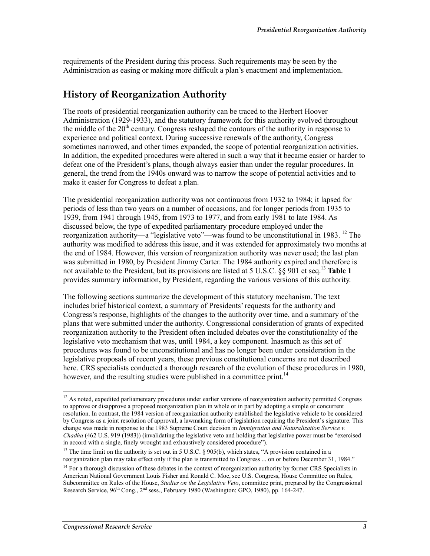requirements of the President during this process. Such requirements may be seen by the Administration as easing or making more difficult a plan's enactment and implementation.

### **History of Reorganization Authority**

The roots of presidential reorganization authority can be traced to the Herbert Hoover Administration (1929-1933), and the statutory framework for this authority evolved throughout the middle of the  $20<sup>th</sup>$  century. Congress reshaped the contours of the authority in response to experience and political context. During successive renewals of the authority, Congress sometimes narrowed, and other times expanded, the scope of potential reorganization activities. In addition, the expedited procedures were altered in such a way that it became easier or harder to defeat one of the President's plans, though always easier than under the regular procedures. In general, the trend from the 1940s onward was to narrow the scope of potential activities and to make it easier for Congress to defeat a plan.

The presidential reorganization authority was not continuous from 1932 to 1984; it lapsed for periods of less than two years on a number of occasions, and for longer periods from 1935 to 1939, from 1941 through 1945, from 1973 to 1977, and from early 1981 to late 1984. As discussed below, the type of expedited parliamentary procedure employed under the reorganization authority—a "legislative veto"—was found to be unconstitutional in 1983. <sup>12</sup> The authority was modified to address this issue, and it was extended for approximately two months at the end of 1984. However, this version of reorganization authority was never used; the last plan was submitted in 1980, by President Jimmy Carter. The 1984 authority expired and therefore is not available to the President, but its provisions are listed at 5 U.S.C. §§ 901 et seq.13 **Table 1** provides summary information, by President, regarding the various versions of this authority.

The following sections summarize the development of this statutory mechanism. The text includes brief historical context, a summary of Presidents' requests for the authority and Congress's response, highlights of the changes to the authority over time, and a summary of the plans that were submitted under the authority. Congressional consideration of grants of expedited reorganization authority to the President often included debates over the constitutionality of the legislative veto mechanism that was, until 1984, a key component. Inasmuch as this set of procedures was found to be unconstitutional and has no longer been under consideration in the legislative proposals of recent years, these previous constitutional concerns are not described here. CRS specialists conducted a thorough research of the evolution of these procedures in 1980, however, and the resulting studies were published in a committee print.<sup>14</sup>

<u>.</u>

 $12$  As noted, expedited parliamentary procedures under earlier versions of reorganization authority permitted Congress to approve or disapprove a proposed reorganization plan in whole or in part by adopting a simple or concurrent resolution. In contrast, the 1984 version of reorganization authority established the legislative vehicle to be considered by Congress as a joint resolution of approval, a lawmaking form of legislation requiring the President's signature. This change was made in response to the 1983 Supreme Court decision in *Immigration and Naturalization Service v. Chadha* (462 U.S. 919 (1983)) (invalidating the legislative veto and holding that legislative power must be "exercised in accord with a single, finely wrought and exhaustively considered procedure").

<sup>&</sup>lt;sup>13</sup> The time limit on the authority is set out in 5 U.S.C. § 905(b), which states, "A provision contained in a reorganization plan may take effect only if the plan is transmitted to Congress ... on or before December 31, 1984."

 $14$  For a thorough discussion of these debates in the context of reorganization authority by former CRS Specialists in American National Government Louis Fisher and Ronald C. Moe, see U.S. Congress, House Committee on Rules, Subcommittee on Rules of the House, *Studies on the Legislative Veto*, committee print, prepared by the Congressional Research Service,  $96^{th}$  Cong.,  $2^{nd}$  sess., February 1980 (Washington: GPO, 1980), pp. 164-247.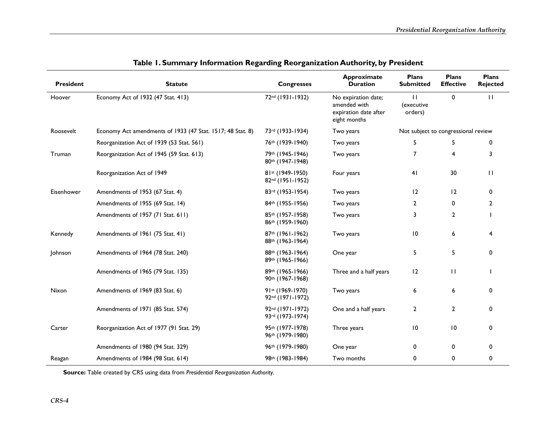| <b>President</b> | <b>Statute</b>                                             | <b>Congresses</b>                    | <b>Approximate</b><br><b>Duration</b>                                        | <b>Plans</b><br><b>Submitted</b>    | <b>Plans</b><br><b>Effective</b> | <b>Plans</b><br><b>Rejected</b> |
|------------------|------------------------------------------------------------|--------------------------------------|------------------------------------------------------------------------------|-------------------------------------|----------------------------------|---------------------------------|
| Hoover           | Economy Act of 1932 (47 Stat. 413)                         | 72nd (1931-1932)                     | No expiration date;<br>amended with<br>expiration date after<br>eight months | $\perp$<br>(executive<br>orders)    | $\mathbf 0$                      | $\mathbf{H}$                    |
| Roosevelt        | Economy Act amendments of 1933 (47 Stat. 1517; 48 Stat. 8) | 73rd (1933-1934)                     | Two years                                                                    | Not subject to congressional review |                                  |                                 |
|                  | Reorganization Act of 1939 (53 Stat. 561)                  | 76th (1939-1940)                     | Two years                                                                    | 5                                   | 5                                | 0                               |
| Truman           | Reorganization Act of 1945 (59 Stat. 613)                  | 79th (1945-1946)<br>80th (1947-1948) | Two years                                                                    | $\overline{7}$                      | 4                                | 3                               |
|                  | Reorganization Act of 1949                                 | 81st (1949-1950)<br>82nd (1951-1952) | Four years                                                                   | 41                                  | 30                               | $\mathbf{H}$                    |
| Eisenhower       | Amendments of 1953 (67 Stat. 4)                            | 83rd (1953-1954)                     | Two years                                                                    | 12                                  | 12                               | $\Omega$                        |
|                  | Amendments of 1955 (69 Stat. 14)                           | 84th (1955-1956)                     | Two years                                                                    | 2                                   | $\mathbf{0}$                     | $\overline{2}$                  |
|                  | Amendments of 1957 (71 Stat. 611)                          | 85th (1957-1958)<br>86th (1959-1960) | Two years                                                                    | 3                                   | $\overline{2}$                   |                                 |
| Kennedy          | Amendments of 1961 (75 Stat. 41)                           | 87th (1961-1962)<br>88th (1963-1964) | Two years                                                                    | 10                                  | 6                                | 4                               |
| Johnson          | Amendments of 1964 (78 Stat. 240)                          | 88th (1963-1964)<br>89th (1965-1966) | One year                                                                     | 5                                   | 5                                | 0                               |
|                  | Amendments of 1965 (79 Stat. 135)                          | 89th (1965-1966)<br>90th (1967-1968) | Three and a half years                                                       | 12                                  | $\mathbf{H}$                     |                                 |
| Nixon            | Amendments of 1969 (83 Stat. 6)                            | 91st (1969-1970)<br>92nd (1971-1972) | Two years                                                                    | 6                                   | 6                                | 0                               |
|                  | Amendments of 1971 (85 Stat. 574)                          | 92nd (1971-1972)<br>93rd (1973-1974) | One and a half years                                                         | $\overline{2}$                      | $\overline{2}$                   | 0                               |
| Carter           | Reorganization Act of 1977 (91 Stat. 29)                   | 95th (1977-1978)<br>96th (1979-1980) | Three years                                                                  | $\overline{10}$                     | $\overline{10}$                  | 0                               |
|                  | Amendments of 1980 (94 Stat. 329)                          | 96th (1979-1980)                     | One year                                                                     | 0                                   | $\mathbf{0}$                     | $\Omega$                        |
| Reagan           | Amendments of 1984 (98 Stat. 614)                          | 98th (1983-1984)                     | Two months                                                                   | $\mathbf 0$                         | 0                                | 0                               |

|  |  |  |  | Table 1. Summary Information Regarding Reorganization Authority, by President |  |  |
|--|--|--|--|-------------------------------------------------------------------------------|--|--|
|--|--|--|--|-------------------------------------------------------------------------------|--|--|

**Source:** Table created by CRS using data from *Presidential Reorganization Authority*.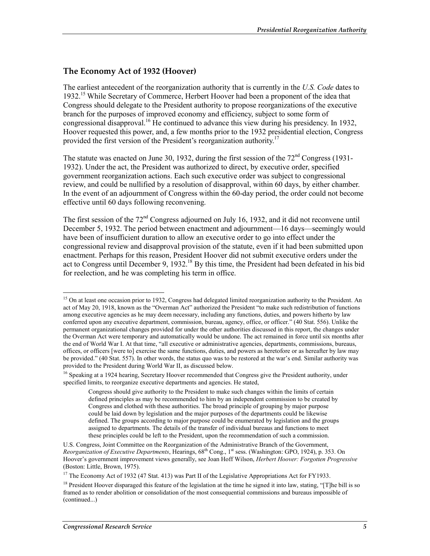### **The Economy Act of 1932 (Hoover)**

The earliest antecedent of the reorganization authority that is currently in the *U.S. Code* dates to 1932.15 While Secretary of Commerce, Herbert Hoover had been a proponent of the idea that Congress should delegate to the President authority to propose reorganizations of the executive branch for the purposes of improved economy and efficiency, subject to some form of congressional disapproval.<sup>16</sup> He continued to advance this view during his presidency. In 1932, Hoover requested this power, and, a few months prior to the 1932 presidential election, Congress provided the first version of the President's reorganization authority.<sup>17</sup>

The statute was enacted on June 30, 1932, during the first session of the  $72<sup>nd</sup>$  Congress (1931-1932). Under the act, the President was authorized to direct, by executive order, specified government reorganization actions. Each such executive order was subject to congressional review, and could be nullified by a resolution of disapproval, within 60 days, by either chamber. In the event of an adjournment of Congress within the 60-day period, the order could not become effective until 60 days following reconvening.

The first session of the 72<sup>nd</sup> Congress adjourned on July 16, 1932, and it did not reconvene until December 5, 1932. The period between enactment and adjournment—16 days—seemingly would have been of insufficient duration to allow an executive order to go into effect under the congressional review and disapproval provision of the statute, even if it had been submitted upon enactment. Perhaps for this reason, President Hoover did not submit executive orders under the act to Congress until December 9, 1932.<sup>18</sup> By this time, the President had been defeated in his bid for reelection, and he was completing his term in office.

<sup>&</sup>lt;sup>15</sup> On at least one occasion prior to 1932, Congress had delegated limited reorganization authority to the President. An act of May 20, 1918, known as the "Overman Act" authorized the President "to make such redistribution of functions among executive agencies as he may deem necessary, including any functions, duties, and powers hitherto by law conferred upon any executive department, commission, bureau, agency, office, or officer." (40 Stat. 556). Unlike the permanent organizational changes provided for under the other authorities discussed in this report, the changes under the Overman Act were temporary and automatically would be undone. The act remained in force until six months after the end of World War I. At that time, "all executive or administrative agencies, departments, commissions, bureaus, offices, or officers [were to] exercise the same functions, duties, and powers as heretofore or as hereafter by law may be provided." (40 Stat. 557). In other words, the status quo was to be restored at the war's end. Similar authority was provided to the President during World War II, as discussed below.

<sup>&</sup>lt;sup>16</sup> Speaking at a 1924 hearing, Secretary Hoover recommended that Congress give the President authority, under specified limits, to reorganize executive departments and agencies. He stated,

Congress should give authority to the President to make such changes within the limits of certain defined principles as may be recommended to him by an independent commission to be created by Congress and clothed with these authorities. The broad principle of grouping by major purpose could be laid down by legislation and the major purposes of the departments could be likewise defined. The groups according to major purpose could be enumerated by legislation and the groups assigned to departments. The details of the transfer of individual bureaus and functions to meet these principles could be left to the President, upon the recommendation of such a commission.

U.S. Congress, Joint Committee on the Reorganization of the Administrative Branch of the Government, *Reorganization of Executive Departments*, Hearings, 68<sup>th</sup> Cong., 1<sup>st</sup> sess. (Washington: GPO, 1924), p. 353. On Hoover's government improvement views generally, see Joan Hoff Wilson, *Herbert Hoover: Forgotten Progressive* (Boston: Little, Brown, 1975).

<sup>&</sup>lt;sup>17</sup> The Economy Act of 1932 (47 Stat. 413) was Part II of the Legislative Appropriations Act for FY1933.

<sup>&</sup>lt;sup>18</sup> President Hoover disparaged this feature of the legislation at the time he signed it into law, stating, "[T]he bill is so framed as to render abolition or consolidation of the most consequential commissions and bureaus impossible of (continued...)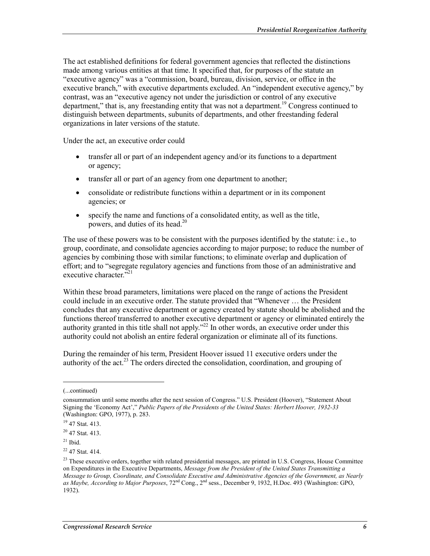The act established definitions for federal government agencies that reflected the distinctions made among various entities at that time. It specified that, for purposes of the statute an "executive agency" was a "commission, board, bureau, division, service, or office in the executive branch," with executive departments excluded. An "independent executive agency," by contrast, was an "executive agency not under the jurisdiction or control of any executive department," that is, any freestanding entity that was not a department.<sup>19</sup> Congress continued to distinguish between departments, subunits of departments, and other freestanding federal organizations in later versions of the statute.

Under the act, an executive order could

- transfer all or part of an independent agency and/or its functions to a department or agency;
- transfer all or part of an agency from one department to another;
- consolidate or redistribute functions within a department or in its component agencies; or
- specify the name and functions of a consolidated entity, as well as the title, powers, and duties of its head.<sup>20</sup>

The use of these powers was to be consistent with the purposes identified by the statute: i.e., to group, coordinate, and consolidate agencies according to major purpose; to reduce the number of agencies by combining those with similar functions; to eliminate overlap and duplication of effort; and to "segregate regulatory agencies and functions from those of an administrative and executive character."<sup>21</sup>

Within these broad parameters, limitations were placed on the range of actions the President could include in an executive order. The statute provided that "Whenever … the President concludes that any executive department or agency created by statute should be abolished and the functions thereof transferred to another executive department or agency or eliminated entirely the authority granted in this title shall not apply.<sup> $22$ </sup> In other words, an executive order under this authority could not abolish an entire federal organization or eliminate all of its functions.

During the remainder of his term, President Hoover issued 11 executive orders under the authority of the act.<sup>23</sup> The orders directed the consolidation, coordination, and grouping of

<sup>(...</sup>continued)

consummation until some months after the next session of Congress." U.S. President (Hoover), "Statement About Signing the 'Economy Act'," *Public Papers of the Presidents of the United States: Herbert Hoover, 1932-33* (Washington: GPO, 1977), p. 283.

<sup>&</sup>lt;sup>19</sup> 47 Stat. 413.

<sup>20 47</sup> Stat. 413.

 $21$  Ibid.

<sup>22 47</sup> Stat. 414.

<sup>&</sup>lt;sup>23</sup> These executive orders, together with related presidential messages, are printed in U.S. Congress, House Committee on Expenditures in the Executive Departments, *Message from the President of the United States Transmitting a Message to Group, Coordinate, and Consolidate Executive and Administrative Agencies of the Government, as Nearly as Maybe, According to Major Purposes*, 72nd Cong., 2nd sess., December 9, 1932, H.Doc. 493 (Washington: GPO, 1932).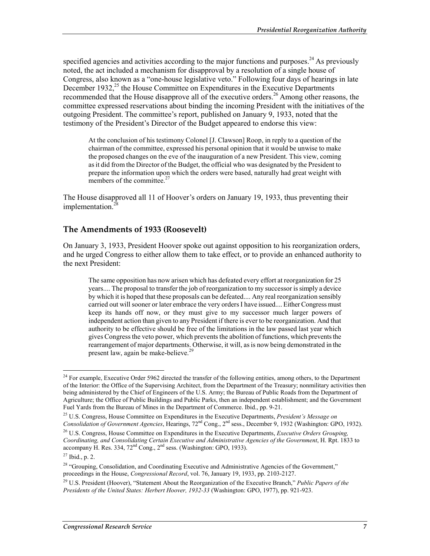specified agencies and activities according to the major functions and purposes.<sup>24</sup> As previously noted, the act included a mechanism for disapproval by a resolution of a single house of Congress, also known as a "one-house legislative veto." Following four days of hearings in late December 1932, $^{25}$  the House Committee on Expenditures in the Executive Departments recommended that the House disapprove all of the executive orders.26 Among other reasons, the committee expressed reservations about binding the incoming President with the initiatives of the outgoing President. The committee's report, published on January 9, 1933, noted that the testimony of the President's Director of the Budget appeared to endorse this view:

At the conclusion of his testimony Colonel [J. Clawson] Roop, in reply to a question of the chairman of the committee, expressed his personal opinion that it would be unwise to make the proposed changes on the eve of the inauguration of a new President. This view, coming as it did from the Director of the Budget, the official who was designated by the President to prepare the information upon which the orders were based, naturally had great weight with members of the committee.<sup>27</sup>

The House disapproved all 11 of Hoover's orders on January 19, 1933, thus preventing their implementation.<sup>2</sup>

#### **The Amendments of 1933 (Roosevelt)**

On January 3, 1933, President Hoover spoke out against opposition to his reorganization orders, and he urged Congress to either allow them to take effect, or to provide an enhanced authority to the next President:

The same opposition has now arisen which has defeated every effort at reorganization for 25 years.... The proposal to transfer the job of reorganization to my successor is simply a device by which it is hoped that these proposals can be defeated.... Any real reorganization sensibly carried out will sooner or later embrace the very orders I have issued.... Either Congress must keep its hands off now, or they must give to my successor much larger powers of independent action than given to any President if there is ever to be reorganization. And that authority to be effective should be free of the limitations in the law passed last year which gives Congress the veto power, which prevents the abolition of functions, which prevents the rearrangement of major departments. Otherwise, it will, as is now being demonstrated in the present law, again be make-believe.<sup>29</sup>

<sup>&</sup>lt;sup>24</sup> For example, Executive Order 5962 directed the transfer of the following entities, among others, to the Department of the Interior: the Office of the Supervising Architect, from the Department of the Treasury; nonmilitary activities then being administered by the Chief of Engineers of the U.S. Army; the Bureau of Public Roads from the Department of Agriculture; the Office of Public Buildings and Public Parks, then an independent establishment; and the Government Fuel Yards from the Bureau of Mines in the Department of Commerce. Ibid., pp. 9-21.

<sup>25</sup> U.S. Congress, House Committee on Expenditures in the Executive Departments, *President's Message on Consolidation of Government Agencies*, Hearings, 72nd Cong., 2nd sess., December 9, 1932 (Washington: GPO, 1932).

<sup>26</sup> U.S. Congress, House Committee on Expenditures in the Executive Departments, *Executive Orders Grouping, Coordinating, and Consolidating Certain Executive and Administrative Agencies of the Government*, H. Rpt. 1833 to accompany H. Res. 334, 72<sup>nd</sup> Cong., 2<sup>nd</sup> sess. (Washington: GPO, 1933).

 $27$  Ibid., p. 2.

<sup>&</sup>lt;sup>28</sup> "Grouping, Consolidation, and Coordinating Executive and Administrative Agencies of the Government," proceedings in the House, *Congressional Record*, vol. 76, January 19, 1933, pp. 2103-2127.

<sup>29</sup> U.S. President (Hoover), "Statement About the Reorganization of the Executive Branch," *Public Papers of the Presidents of the United States: Herbert Hoover, 1932-33* (Washington: GPO, 1977), pp. 921-923.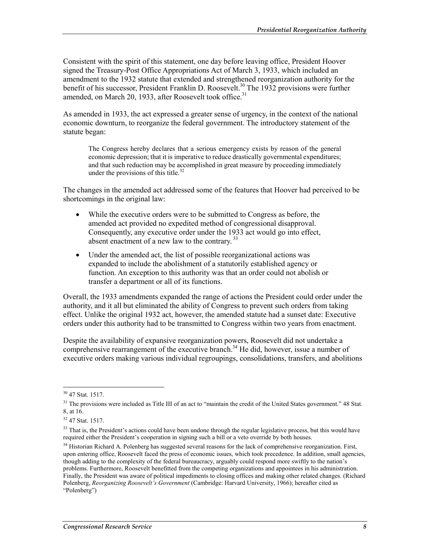Consistent with the spirit of this statement, one day before leaving office, President Hoover signed the Treasury-Post Office Appropriations Act of March 3, 1933, which included an amendment to the 1932 statute that extended and strengthened reorganization authority for the benefit of his successor, President Franklin D. Roosevelt.<sup>30</sup> The 1932 provisions were further amended, on March 20, 1933, after Roosevelt took office.<sup>31</sup>

As amended in 1933, the act expressed a greater sense of urgency, in the context of the national economic downturn, to reorganize the federal government. The introductory statement of the statute began:

The Congress hereby declares that a serious emergency exists by reason of the general economic depression; that it is imperative to reduce drastically governmental expenditures; and that such reduction may be accomplished in great measure by proceeding immediately under the provisions of this title. $32$ 

The changes in the amended act addressed some of the features that Hoover had perceived to be shortcomings in the original law:

- While the executive orders were to be submitted to Congress as before, the amended act provided no expedited method of congressional disapproval. Consequently, any executive order under the 1933 act would go into effect, absent enactment of a new law to the contrary.<sup>33</sup>
- Under the amended act, the list of possible reorganizational actions was expanded to include the abolishment of a statutorily established agency or function. An exception to this authority was that an order could not abolish or transfer a department or all of its functions.

Overall, the 1933 amendments expanded the range of actions the President could order under the authority, and it all but eliminated the ability of Congress to prevent such orders from taking effect. Unlike the original 1932 act, however, the amended statute had a sunset date: Executive orders under this authority had to be transmitted to Congress within two years from enactment.

Despite the availability of expansive reorganization powers, Roosevelt did not undertake a comprehensive rearrangement of the executive branch.<sup>34</sup> He did, however, issue a number of executive orders making various individual regroupings, consolidations, transfers, and abolitions

<u>.</u>

<sup>30 47</sup> Stat. 1517.

<sup>&</sup>lt;sup>31</sup> The provisions were included as Title III of an act to "maintain the credit of the United States government." 48 Stat. 8, at 16.

<sup>32 47</sup> Stat. 1517.

<sup>&</sup>lt;sup>33</sup> That is, the President's actions could have been undone through the regular legislative process, but this would have required either the President's cooperation in signing such a bill or a veto override by both houses.

 $34$  Historian Richard A. Polenberg has suggested several reasons for the lack of comprehensive reorganization. First, upon entering office, Roosevelt faced the press of economic issues, which took precedence. In addition, small agencies, though adding to the complexity of the federal bureaucracy, arguably could respond more swiftly to the nation's problems. Furthermore, Roosevelt benefitted from the competing organizations and appointees in his administration. Finally, the President was aware of political impediments to closing offices and making other related changes. (Richard Polenberg, *Reorganizing Roosevelt's Government* (Cambridge: Harvard University, 1966); hereafter cited as "Polenberg")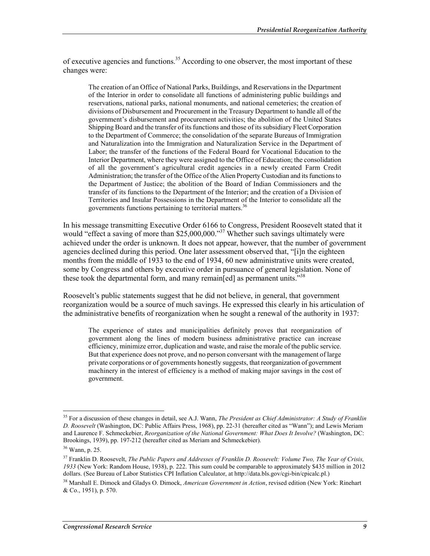of executive agencies and functions.<sup>35</sup> According to one observer, the most important of these changes were:

The creation of an Office of National Parks, Buildings, and Reservations in the Department of the Interior in order to consolidate all functions of administering public buildings and reservations, national parks, national monuments, and national cemeteries; the creation of divisions of Disbursement and Procurement in the Treasury Department to handle all of the government's disbursement and procurement activities; the abolition of the United States Shipping Board and the transfer of its functions and those of its subsidiary Fleet Corporation to the Department of Commerce; the consolidation of the separate Bureaus of Immigration and Naturalization into the Immigration and Naturalization Service in the Department of Labor; the transfer of the functions of the Federal Board for Vocational Education to the Interior Department, where they were assigned to the Office of Education; the consolidation of all the government's agricultural credit agencies in a newly created Farm Credit Administration; the transfer of the Office of the Alien Property Custodian and its functions to the Department of Justice; the abolition of the Board of Indian Commissioners and the transfer of its functions to the Department of the Interior; and the creation of a Division of Territories and Insular Possessions in the Department of the Interior to consolidate all the governments functions pertaining to territorial matters.<sup>36</sup>

In his message transmitting Executive Order 6166 to Congress, President Roosevelt stated that it would "effect a saving of more than \$25,000,000."<sup>37</sup> Whether such savings ultimately were achieved under the order is unknown. It does not appear, however, that the number of government agencies declined during this period. One later assessment observed that, "[i]n the eighteen months from the middle of 1933 to the end of 1934, 60 new administrative units were created, some by Congress and others by executive order in pursuance of general legislation. None of these took the departmental form, and many remain[ed] as permanent units.<sup>338</sup>

Roosevelt's public statements suggest that he did not believe, in general, that government reorganization would be a source of much savings. He expressed this clearly in his articulation of the administrative benefits of reorganization when he sought a renewal of the authority in 1937:

The experience of states and municipalities definitely proves that reorganization of government along the lines of modern business administrative practice can increase efficiency, minimize error, duplication and waste, and raise the morale of the public service. But that experience does not prove, and no person conversant with the management of large private corporations or of governments honestly suggests, that reorganization of government machinery in the interest of efficiency is a method of making major savings in the cost of government.

<sup>35</sup> For a discussion of these changes in detail, see A.J. Wann, *The President as Chief Administrator: A Study of Franklin D. Roosevelt* (Washington, DC: Public Affairs Press, 1968), pp. 22-31 (hereafter cited as "Wann"); and Lewis Meriam and Laurence F. Schmeckebier, *Reorganization of the National Government: What Does It Involve?* (Washington, DC: Brookings, 1939), pp. 197-212 (hereafter cited as Meriam and Schmeckebier).

<sup>36</sup> Wann, p. 25.

<sup>37</sup> Franklin D. Roosevelt, *The Public Papers and Addresses of Franklin D. Roosevelt: Volume Two, The Year of Crisis, 1933* (New York: Random House, 1938), p. 222. This sum could be comparable to approximately \$435 million in 2012 dollars. (See Bureau of Labor Statistics CPI Inflation Calculator, at http://data.bls.gov/cgi-bin/cpicalc.pl.)

<sup>38</sup> Marshall E. Dimock and Gladys O. Dimock, *American Government in Action*, revised edition (New York: Rinehart & Co., 1951), p. 570.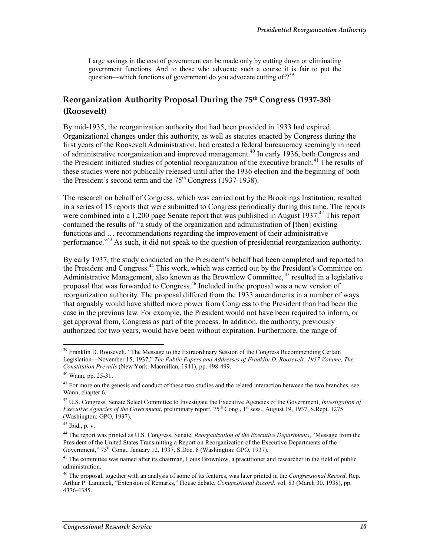Large savings in the cost of government can be made only by cutting down or eliminating government functions. And to those who advocate such a course it is fair to put the question—which functions of government do you advocate cutting off?<sup>39</sup>

### **Reorganization Authority Proposal During the 75th Congress (1937-38) (Roosevelt)**

By mid-1935, the reorganization authority that had been provided in 1933 had expired. Organizational changes under this authority, as well as statutes enacted by Congress during the first years of the Roosevelt Administration, had created a federal bureaucracy seemingly in need of administrative reorganization and improved management.<sup>40</sup> In early 1936, both Congress and the President initiated studies of potential reorganization of the executive branch.<sup>41</sup> The results of these studies were not publically released until after the 1936 election and the beginning of both the President's second term and the  $75<sup>th</sup>$  Congress (1937-1938).

The research on behalf of Congress, which was carried out by the Brookings Institution, resulted in a series of 15 reports that were submitted to Congress periodically during this time. The reports were combined into a 1,200 page Senate report that was published in August 1937.<sup>42</sup> This report contained the results of "a study of the organization and administration of [then] existing functions and … recommendations regarding the improvement of their administrative performance."43 As such, it did not speak to the question of presidential reorganization authority.

By early 1937, the study conducted on the President's behalf had been completed and reported to the President and Congress.<sup>44</sup> This work, which was carried out by the President's Committee on Administrative Management, also known as the Brownlow Committee,  $4<sup>5</sup>$  resulted in a legislative proposal that was forwarded to Congress.46 Included in the proposal was a new version of reorganization authority. The proposal differed from the 1933 amendments in a number of ways that arguably would have shifted more power from Congress to the President than had been the case in the previous law. For example, the President would not have been required to inform, or get approval from, Congress as part of the process. In addition, the authority, previously authorized for two years, would have been without expiration. Furthermore, the range of

<sup>&</sup>lt;sup>39</sup> Franklin D. Roosevelt, "The Message to the Extraordinary Session of the Congress Recommending Certain Legislation—November 15, 1937," *The Public Papers and Addresses of Franklin D. Roosevelt: 1937 Volume, The Constitution Prevails* (New York: Macmillan, 1941), pp. 498-499.

<sup>40</sup> Wann, pp. 25-31.

<sup>&</sup>lt;sup>41</sup> For more on the genesis and conduct of these two studies and the related interaction between the two branches, see Wann, chapter 6.

<sup>42</sup> U.S. Congress, Senate Select Committee to Investigate the Executive Agencies of the Government, *Investigation of Executive Agencies of the Government*, preliminary report, 75<sup>th</sup> Cong., 1<sup>st</sup> sess., August 19, 1937, S.Rept. 1275 (Washington: GPO, 1937).

 $43$  Ibid., p. v.

<sup>44</sup> The report was printed as U.S. Congress, Senate, *Reorganization of the Executive Departments*, "Message from the President of the United States Transmitting a Report on Reorganization of the Executive Departments of the Government," 75<sup>th</sup> Cong., January 12, 1937, S.Doc. 8 (Washington: GPO, 1937).

<sup>&</sup>lt;sup>45</sup> The committee was named after its chairman, Louis Brownlow, a practitioner and researcher in the field of public administration.

<sup>46</sup> The proposal, together with an analysis of some of its features, was later printed in the *Congressional Record*. Rep. Arthur P. Lamneck, "Extension of Remarks," House debate, *Congressional Record*, vol. 83 (March 30, 1938), pp. 4376-4385.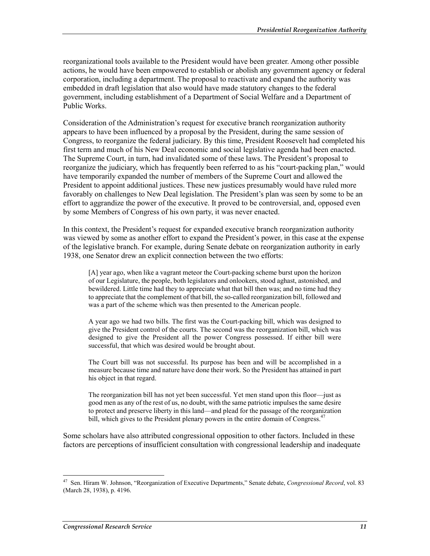reorganizational tools available to the President would have been greater. Among other possible actions, he would have been empowered to establish or abolish any government agency or federal corporation, including a department. The proposal to reactivate and expand the authority was embedded in draft legislation that also would have made statutory changes to the federal government, including establishment of a Department of Social Welfare and a Department of Public Works.

Consideration of the Administration's request for executive branch reorganization authority appears to have been influenced by a proposal by the President, during the same session of Congress, to reorganize the federal judiciary. By this time, President Roosevelt had completed his first term and much of his New Deal economic and social legislative agenda had been enacted. The Supreme Court, in turn, had invalidated some of these laws. The President's proposal to reorganize the judiciary, which has frequently been referred to as his "court-packing plan," would have temporarily expanded the number of members of the Supreme Court and allowed the President to appoint additional justices. These new justices presumably would have ruled more favorably on challenges to New Deal legislation. The President's plan was seen by some to be an effort to aggrandize the power of the executive. It proved to be controversial, and, opposed even by some Members of Congress of his own party, it was never enacted.

In this context, the President's request for expanded executive branch reorganization authority was viewed by some as another effort to expand the President's power, in this case at the expense of the legislative branch. For example, during Senate debate on reorganization authority in early 1938, one Senator drew an explicit connection between the two efforts:

[A] year ago, when like a vagrant meteor the Court-packing scheme burst upon the horizon of our Legislature, the people, both legislators and onlookers, stood aghast, astonished, and bewildered. Little time had they to appreciate what that bill then was; and no time had they to appreciate that the complement of that bill, the so-called reorganization bill, followed and was a part of the scheme which was then presented to the American people.

A year ago we had two bills. The first was the Court-packing bill, which was designed to give the President control of the courts. The second was the reorganization bill, which was designed to give the President all the power Congress possessed. If either bill were successful, that which was desired would be brought about.

The Court bill was not successful. Its purpose has been and will be accomplished in a measure because time and nature have done their work. So the President has attained in part his object in that regard.

The reorganization bill has not yet been successful. Yet men stand upon this floor—just as good men as any of the rest of us, no doubt, with the same patriotic impulses the same desire to protect and preserve liberty in this land—and plead for the passage of the reorganization bill, which gives to the President plenary powers in the entire domain of Congress.<sup>47</sup>

Some scholars have also attributed congressional opposition to other factors. Included in these factors are perceptions of insufficient consultation with congressional leadership and inadequate

<sup>47</sup> Sen. Hiram W. Johnson, "Reorganization of Executive Departments," Senate debate, *Congressional Record*, vol. 83 (March 28, 1938), p. 4196.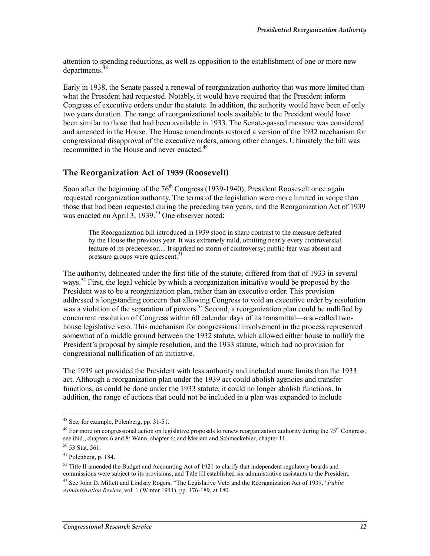attention to spending reductions, as well as opposition to the establishment of one or more new departments.<sup>4</sup>

Early in 1938, the Senate passed a renewal of reorganization authority that was more limited than what the President had requested. Notably, it would have required that the President inform Congress of executive orders under the statute. In addition, the authority would have been of only two years duration. The range of reorganizational tools available to the President would have been similar to those that had been available in 1933. The Senate-passed measure was considered and amended in the House. The House amendments restored a version of the 1932 mechanism for congressional disapproval of the executive orders, among other changes. Ultimately the bill was recommitted in the House and never enacted.<sup>49</sup>

### **The Reorganization Act of 1939 (Roosevelt)**

Soon after the beginning of the  $76<sup>th</sup>$  Congress (1939-1940), President Roosevelt once again requested reorganization authority. The terms of the legislation were more limited in scope than those that had been requested during the preceding two years, and the Reorganization Act of 1939 was enacted on April  $3$ , 1939.<sup>50</sup> One observer noted:

The Reorganization bill introduced in 1939 stood in sharp contrast to the measure defeated by the House the previous year. It was extremely mild, omitting nearly every controversial feature of its predecessor.... It sparked no storm of controversy; public fear was absent and pressure groups were quiescent.<sup>51</sup>

The authority, delineated under the first title of the statute, differed from that of 1933 in several ways.<sup>52</sup> First, the legal vehicle by which a reorganization initiative would be proposed by the President was to be a reorganization plan, rather than an executive order. This provision addressed a longstanding concern that allowing Congress to void an executive order by resolution was a violation of the separation of powers.<sup>53</sup> Second, a reorganization plan could be nullified by concurrent resolution of Congress within 60 calendar days of its transmittal—a so-called twohouse legislative veto. This mechanism for congressional involvement in the process represented somewhat of a middle ground between the 1932 statute, which allowed either house to nullify the President's proposal by simple resolution, and the 1933 statute, which had no provision for congressional nullification of an initiative.

The 1939 act provided the President with less authority and included more limits than the 1933 act. Although a reorganization plan under the 1939 act could abolish agencies and transfer functions, as could be done under the 1933 statute, it could no longer abolish functions. In addition, the range of actions that could not be included in a plan was expanded to include

<sup>&</sup>lt;sup>48</sup> See, for example, Polenberg, pp. 31-51.

 $49$  For more on congressional action on legislative proposals to renew reorganization authority during the  $75<sup>th</sup>$  Congress, see ibid., chapters 6 and 8; Wann, chapter 6; and Meriam and Schmeckebier, chapter 11.

 $50$  53 Stat. 561.

<sup>51</sup> Polenberg, p. 184.

 $52$  Title II amended the Budget and Accounting Act of 1921 to clarify that independent regulatory boards and commissions were subject to its provisions, and Title III established six administrative assistants to the President. 53 See John D. Millett and Lindsay Rogers, "The Legislative Veto and the Reorganization Act of 1939," *Public Administration Review*, vol. 1 (Winter 1941), pp. 176-189, at 180.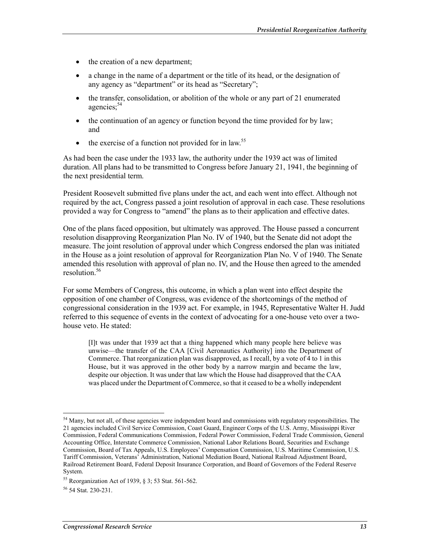- the creation of a new department;
- a change in the name of a department or the title of its head, or the designation of any agency as "department" or its head as "Secretary";
- the transfer, consolidation, or abolition of the whole or any part of 21 enumerated agencies:<sup>54</sup>
- the continuation of an agency or function beyond the time provided for by law; and
- the exercise of a function not provided for in law.<sup>55</sup>

As had been the case under the 1933 law, the authority under the 1939 act was of limited duration. All plans had to be transmitted to Congress before January 21, 1941, the beginning of the next presidential term.

President Roosevelt submitted five plans under the act, and each went into effect. Although not required by the act, Congress passed a joint resolution of approval in each case. These resolutions provided a way for Congress to "amend" the plans as to their application and effective dates.

One of the plans faced opposition, but ultimately was approved. The House passed a concurrent resolution disapproving Reorganization Plan No. IV of 1940, but the Senate did not adopt the measure. The joint resolution of approval under which Congress endorsed the plan was initiated in the House as a joint resolution of approval for Reorganization Plan No. V of 1940. The Senate amended this resolution with approval of plan no. IV, and the House then agreed to the amended resolution<sup>56</sup>

For some Members of Congress, this outcome, in which a plan went into effect despite the opposition of one chamber of Congress, was evidence of the shortcomings of the method of congressional consideration in the 1939 act. For example, in 1945, Representative Walter H. Judd referred to this sequence of events in the context of advocating for a one-house veto over a twohouse veto. He stated:

[I]t was under that 1939 act that a thing happened which many people here believe was unwise—the transfer of the CAA [Civil Aeronautics Authority] into the Department of Commerce. That reorganization plan was disapproved, as I recall, by a vote of 4 to 1 in this House, but it was approved in the other body by a narrow margin and became the law, despite our objection. It was under that law which the House had disapproved that the CAA was placed under the Department of Commerce, so that it ceased to be a wholly independent

<sup>1</sup> <sup>54</sup> Many, but not all, of these agencies were independent board and commissions with regulatory responsibilities. The 21 agencies included Civil Service Commission, Coast Guard, Engineer Corps of the U.S. Army, Mississippi River Commission, Federal Communications Commission, Federal Power Commission, Federal Trade Commission, General Accounting Office, Interstate Commerce Commission, National Labor Relations Board, Securities and Exchange Commission, Board of Tax Appeals, U.S. Employees' Compensation Commission, U.S. Maritime Commission, U.S. Tariff Commission, Veterans' Administration, National Mediation Board, National Railroad Adjustment Board, Railroad Retirement Board, Federal Deposit Insurance Corporation, and Board of Governors of the Federal Reserve System.

<sup>55</sup> Reorganization Act of 1939, § 3; 53 Stat. 561-562.

<sup>&</sup>lt;sup>56</sup> 54 Stat. 230-231.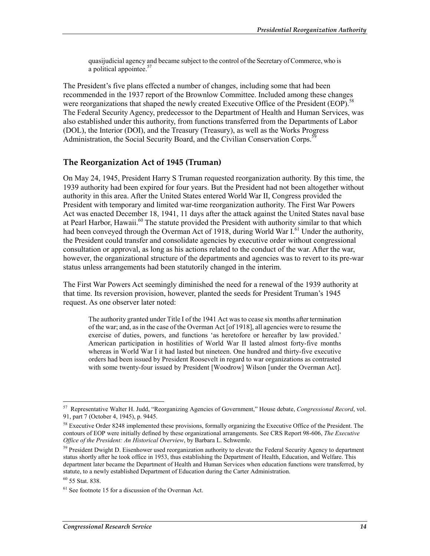quasijudicial agency and became subject to the control of the Secretary of Commerce, who is a political appointee.<sup>57</sup>

The President's five plans effected a number of changes, including some that had been recommended in the 1937 report of the Brownlow Committee. Included among these changes were reorganizations that shaped the newly created Executive Office of the President (EOP).<sup>5</sup> The Federal Security Agency, predecessor to the Department of Health and Human Services, was also established under this authority, from functions transferred from the Departments of Labor (DOL), the Interior (DOI), and the Treasury (Treasury), as well as the Works Progress Administration, the Social Security Board, and the Civilian Conservation Corps.<sup>5</sup>

#### **The Reorganization Act of 1945 (Truman)**

On May 24, 1945, President Harry S Truman requested reorganization authority. By this time, the 1939 authority had been expired for four years. But the President had not been altogether without authority in this area. After the United States entered World War II, Congress provided the President with temporary and limited war-time reorganization authority. The First War Powers Act was enacted December 18, 1941, 11 days after the attack against the United States naval base at Pearl Harbor, Hawaii.<sup>60</sup> The statute provided the President with authority similar to that which had been conveyed through the Overman Act of 1918, during World War  $I<sup>61</sup>$  Under the authority, the President could transfer and consolidate agencies by executive order without congressional consultation or approval, as long as his actions related to the conduct of the war. After the war, however, the organizational structure of the departments and agencies was to revert to its pre-war status unless arrangements had been statutorily changed in the interim.

The First War Powers Act seemingly diminished the need for a renewal of the 1939 authority at that time. Its reversion provision, however, planted the seeds for President Truman's 1945 request. As one observer later noted:

The authority granted under Title I of the 1941 Act was to cease six months after termination of the war; and, as in the case of the Overman Act [of 1918], all agencies were to resume the exercise of duties, powers, and functions 'as heretofore or hereafter by law provided.' American participation in hostilities of World War II lasted almost forty-five months whereas in World War I it had lasted but nineteen. One hundred and thirty-five executive orders had been issued by President Roosevelt in regard to war organizations as contrasted with some twenty-four issued by President [Woodrow] Wilson [under the Overman Act].

<u>.</u>

<sup>57</sup> Representative Walter H. Judd, "Reorganizing Agencies of Government," House debate, *Congressional Record*, vol. 91, part 7 (October 4, 1945), p. 9445.

<sup>&</sup>lt;sup>58</sup> Executive Order 8248 implemented these provisions, formally organizing the Executive Office of the President. The contours of EOP were initially defined by these organizational arrangements. See CRS Report 98-606, *The Executive Office of the President: An Historical Overview*, by Barbara L. Schwemle.

<sup>&</sup>lt;sup>59</sup> President Dwight D. Eisenhower used reorganization authority to elevate the Federal Security Agency to department status shortly after he took office in 1953, thus establishing the Department of Health, Education, and Welfare. This department later became the Department of Health and Human Services when education functions were transferred, by statute, to a newly established Department of Education during the Carter Administration.

<sup>60</sup> 55 Stat. 838.

 $61$  See footnote 15 for a discussion of the Overman Act.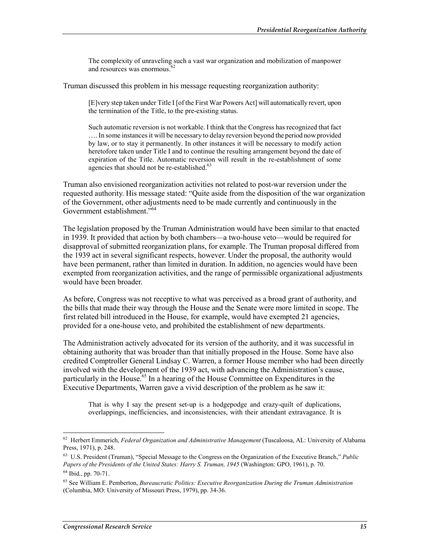The complexity of unraveling such a vast war organization and mobilization of manpower and resources was enormous.<sup>6</sup>

Truman discussed this problem in his message requesting reorganization authority:

[E]very step taken under Title I [of the First War Powers Act] will automatically revert, upon the termination of the Title, to the pre-existing status.

Such automatic reversion is not workable. I think that the Congress has recognized that fact …. In some instances it will be necessary to delay reversion beyond the period now provided by law, or to stay it permanently. In other instances it will be necessary to modify action heretofore taken under Title I and to continue the resulting arrangement beyond the date of expiration of the Title. Automatic reversion will result in the re-establishment of some agencies that should not be re-established.<sup>63</sup>

Truman also envisioned reorganization activities not related to post-war reversion under the requested authority. His message stated: "Quite aside from the disposition of the war organization of the Government, other adjustments need to be made currently and continuously in the Government establishment."<sup>64</sup>

The legislation proposed by the Truman Administration would have been similar to that enacted in 1939. It provided that action by both chambers—a two-house veto—would be required for disapproval of submitted reorganization plans, for example. The Truman proposal differed from the 1939 act in several significant respects, however. Under the proposal, the authority would have been permanent, rather than limited in duration. In addition, no agencies would have been exempted from reorganization activities, and the range of permissible organizational adjustments would have been broader.

As before, Congress was not receptive to what was perceived as a broad grant of authority, and the bills that made their way through the House and the Senate were more limited in scope. The first related bill introduced in the House, for example, would have exempted 21 agencies, provided for a one-house veto, and prohibited the establishment of new departments.

The Administration actively advocated for its version of the authority, and it was successful in obtaining authority that was broader than that initially proposed in the House. Some have also credited Comptroller General Lindsay C. Warren, a former House member who had been directly involved with the development of the 1939 act, with advancing the Administration's cause, particularly in the House.<sup>65</sup> In a hearing of the House Committee on Expenditures in the Executive Departments, Warren gave a vivid description of the problem as he saw it:

That is why I say the present set-up is a hodgepodge and crazy-quilt of duplications, overlappings, inefficiencies, and inconsistencies, with their attendant extravagance. It is

<sup>62</sup> Herbert Emmerich, *Federal Organization and Administrative Management* (Tuscaloosa, AL: University of Alabama Press, 1971), p. 248.

<sup>63</sup> U.S. President (Truman), "Special Message to the Congress on the Organization of the Executive Branch," *Public Papers of the Presidents of the United States: Harry S. Truman, 1945* (Washington: GPO, 1961), p. 70.

<sup>64</sup> Ibid., pp. 70-71.

<sup>65</sup> See William E. Pemberton, *Bureaucratic Politics: Executive Reorganization During the Truman Administration* (Columbia, MO: University of Missouri Press, 1979), pp. 34-36.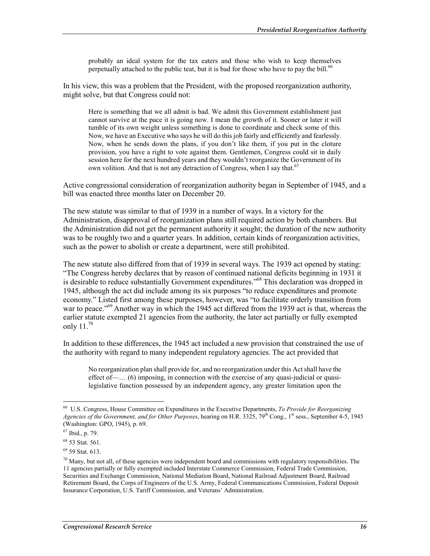probably an ideal system for the tax eaters and those who wish to keep themselves perpetually attached to the public teat, but it is bad for those who have to pay the bill.<sup>66</sup>

In his view, this was a problem that the President, with the proposed reorganization authority, might solve, but that Congress could not:

Here is something that we all admit is bad. We admit this Government establishment just cannot survive at the pace it is going now. I mean the growth of it. Sooner or later it will tumble of its own weight unless something is done to coordinate and check some of this. Now, we have an Executive who says he will do this job fairly and efficiently and fearlessly. Now, when he sends down the plans, if you don't like them, if you put in the cloture provision, you have a right to vote against them. Gentlemen, Congress could sit in daily session here for the next hundred years and they wouldn't reorganize the Government of its own volition. And that is not any detraction of Congress, when I say that.<sup>67</sup>

Active congressional consideration of reorganization authority began in September of 1945, and a bill was enacted three months later on December 20.

The new statute was similar to that of 1939 in a number of ways. In a victory for the Administration, disapproval of reorganization plans still required action by both chambers. But the Administration did not get the permanent authority it sought; the duration of the new authority was to be roughly two and a quarter years. In addition, certain kinds of reorganization activities, such as the power to abolish or create a department, were still prohibited.

The new statute also differed from that of 1939 in several ways. The 1939 act opened by stating: "The Congress hereby declares that by reason of continued national deficits beginning in 1931 it is desirable to reduce substantially Government expenditures."68 This declaration was dropped in 1945, although the act did include among its six purposes "to reduce expenditures and promote economy." Listed first among these purposes, however, was "to facilitate orderly transition from war to peace."<sup>69</sup> Another way in which the 1945 act differed from the 1939 act is that, whereas the earlier statute exempted 21 agencies from the authority, the later act partially or fully exempted only  $11.^{70}$ 

In addition to these differences, the 1945 act included a new provision that constrained the use of the authority with regard to many independent regulatory agencies. The act provided that

No reorganization plan shall provide for, and no reorganization under this Act shall have the effect of—… (6) imposing, in connection with the exercise of any quasi-judicial or quasilegislative function possessed by an independent agency, any greater limitation upon the

<u>.</u>

<sup>66</sup> U.S. Congress, House Committee on Expenditures in the Executive Departments, *To Provide for Reorganizing Agencies of the Government, and for Other Purposes*, hearing on H.R. 3325, 79<sup>th</sup> Cong., 1<sup>st</sup> sess., September 4-5, 1945 (Washington: GPO, 1945), p. 69.

<sup>67</sup> Ibid., p. 79.

<sup>68 53</sup> Stat. 561.

<sup>69 59</sup> Stat. 613.

 $^{70}$  Many, but not all, of these agencies were independent board and commissions with regulatory responsibilities. The 11 agencies partially or fully exempted included Interstate Commerce Commission, Federal Trade Commission, Securities and Exchange Commission, National Mediation Board, National Railroad Adjustment Board, Railroad Retirement Board, the Corps of Engineers of the U.S. Army, Federal Communications Commission, Federal Deposit Insurance Corporation, U.S. Tariff Commission, and Veterans' Administration.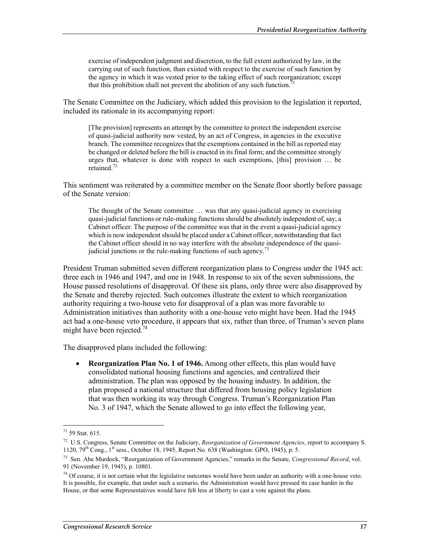exercise of independent judgment and discretion, to the full extent authorized by law, in the carrying out of such function, than existed with respect to the exercise of such function by the agency in which it was vested prior to the taking effect of such reorganization; except that this prohibition shall not prevent the abolition of any such function.<sup>7</sup>

The Senate Committee on the Judiciary, which added this provision to the legislation it reported, included its rationale in its accompanying report:

[The provision] represents an attempt by the committee to protect the independent exercise of quasi-judicial authority now vested, by an act of Congress, in agencies in the executive branch. The committee recognizes that the exemptions contained in the bill as reported may be changed or deleted before the bill is enacted in its final form; and the committee strongly urges that, whatever is done with respect to such exemptions, [this] provision … be retained.<sup>72</sup>

This sentiment was reiterated by a committee member on the Senate floor shortly before passage of the Senate version:

The thought of the Senate committee … was that any quasi-judicial agency in exercising quasi-judicial functions or rule-making functions should be absolutely independent of, say, a Cabinet officer. The purpose of the committee was that in the event a quasi-judicial agency which is now independent should be placed under a Cabinet officer, notwithstanding that fact the Cabinet officer should in no way interfere with the absolute independence of the quasijudicial junctions or the rule-making functions of such agency.<sup>73</sup>

President Truman submitted seven different reorganization plans to Congress under the 1945 act: three each in 1946 and 1947, and one in 1948. In response to six of the seven submissions, the House passed resolutions of disapproval. Of these six plans, only three were also disapproved by the Senate and thereby rejected. Such outcomes illustrate the extent to which reorganization authority requiring a two-house veto for disapproval of a plan was more favorable to Administration initiatives than authority with a one-house veto might have been. Had the 1945 act had a one-house veto procedure, it appears that six, rather than three, of Truman's seven plans might have been rejected. $74$ 

The disapproved plans included the following:

• **Reorganization Plan No. 1 of 1946.** Among other effects, this plan would have consolidated national housing functions and agencies, and centralized their administration. The plan was opposed by the housing industry. In addition, the plan proposed a national structure that differed from housing policy legislation that was then working its way through Congress. Truman's Reorganization Plan No. 3 of 1947, which the Senate allowed to go into effect the following year,

 $71$  59 Stat. 615.

<sup>72</sup> U.S. Congress, Senate Committee on the Judiciary, *Reorganization of Government Agencies*, report to accompany S. 1120,  $79^{th}$  Cong.,  $1^{st}$  sess., October 18, 1945, Report No. 638 (Washington: GPO, 1945), p. 5.

<sup>73</sup> Sen. Abe Murdock, "Reorganization of Government Agencies," remarks in the Senate, *Congressional Record*, vol. 91 (November 19, 1945), p. 10801.

 $74$  Of course, it is not certain what the legislative outcomes would have been under an authority with a one-house veto. It is possible, for example, that under such a scenario, the Administration would have pressed its case harder in the House, or that some Representatives would have felt less at liberty to cast a vote against the plans.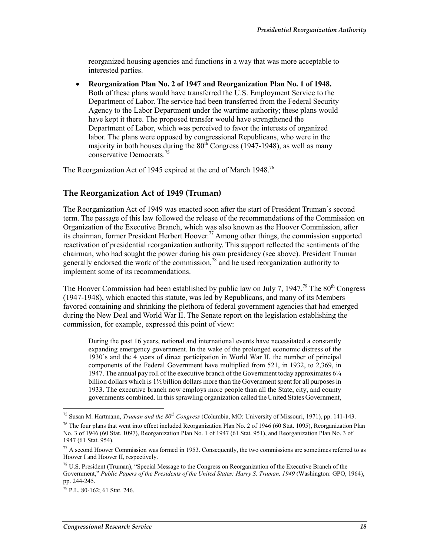reorganized housing agencies and functions in a way that was more acceptable to interested parties.

• **Reorganization Plan No. 2 of 1947 and Reorganization Plan No. 1 of 1948.** Both of these plans would have transferred the U.S. Employment Service to the Department of Labor. The service had been transferred from the Federal Security Agency to the Labor Department under the wartime authority; these plans would have kept it there. The proposed transfer would have strengthened the Department of Labor, which was perceived to favor the interests of organized labor. The plans were opposed by congressional Republicans, who were in the majority in both houses during the  $80<sup>th</sup>$  Congress (1947-1948), as well as many conservative Democrats.75

The Reorganization Act of 1945 expired at the end of March 1948.<sup>76</sup>

### **The Reorganization Act of 1949 (Truman)**

The Reorganization Act of 1949 was enacted soon after the start of President Truman's second term. The passage of this law followed the release of the recommendations of the Commission on Organization of the Executive Branch, which was also known as the Hoover Commission, after its chairman, former President Herbert Hoover.77 Among other things, the commission supported reactivation of presidential reorganization authority. This support reflected the sentiments of the chairman, who had sought the power during his own presidency (see above). President Truman generally endorsed the work of the commission, $^{78}$  and he used reorganization authority to implement some of its recommendations.

The Hoover Commission had been established by public law on July 7, 1947.<sup>79</sup> The  $80<sup>th</sup>$  Congress (1947-1948), which enacted this statute, was led by Republicans, and many of its Members favored containing and shrinking the plethora of federal government agencies that had emerged during the New Deal and World War II. The Senate report on the legislation establishing the commission, for example, expressed this point of view:

During the past 16 years, national and international events have necessitated a constantly expanding emergency government. In the wake of the prolonged economic distress of the 1930's and the 4 years of direct participation in World War II, the number of principal components of the Federal Government have multiplied from 521, in 1932, to 2,369, in 1947. The annual pay roll of the executive branch of the Government today approximates 6¼ billion dollars which is 1½ billion dollars more than the Government spent for all purposes in 1933. The executive branch now employs more people than all the State, city, and county governments combined. In this sprawling organization called the United States Government,

<sup>75</sup> Susan M. Hartmann, *Truman and the 80th Congress* (Columbia, MO: University of Missouri, 1971), pp. 141-143.

<sup>&</sup>lt;sup>76</sup> The four plans that went into effect included Reorganization Plan No. 2 of 1946 (60 Stat. 1095), Reorganization Plan No. 3 of 1946 (60 Stat. 1097), Reorganization Plan No. 1 of 1947 (61 Stat. 951), and Reorganization Plan No. 3 of 1947 (61 Stat. 954).

 $77$  A second Hoover Commission was formed in 1953. Consequently, the two commissions are sometimes referred to as Hoover I and Hoover II, respectively.

<sup>78</sup> U.S. President (Truman), "Special Message to the Congress on Reorganization of the Executive Branch of the Government," *Public Papers of the Presidents of the United States: Harry S. Truman, 1949* (Washington: GPO, 1964), pp. 244-245.

<sup>79</sup> P.L. 80-162; 61 Stat. 246.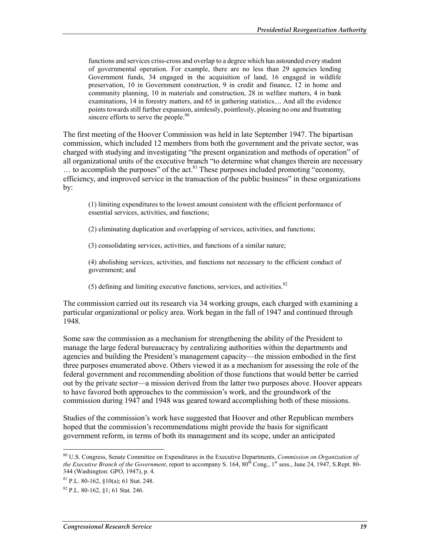functions and services criss-cross and overlap to a degree which has astounded every student of governmental operation. For example, there are no less than 29 agencies lending Government funds, 34 engaged in the acquisition of land, 16 engaged in wildlife preservation, 10 in Government construction, 9 in credit and finance, 12 in home and community planning, 10 in materials and construction, 28 in welfare matters, 4 in bank examinations, 14 in forestry matters, and 65 in gathering statistics.... And all the evidence points towards still further expansion, aimlessly, pointlessly, pleasing no one and frustrating sincere efforts to serve the people.<sup>80</sup>

The first meeting of the Hoover Commission was held in late September 1947. The bipartisan commission, which included 12 members from both the government and the private sector, was charged with studying and investigating "the present organization and methods of operation" of all organizational units of the executive branch "to determine what changes therein are necessary  $\ldots$  to accomplish the purposes" of the act.<sup>81</sup> These purposes included promoting "economy, efficiency, and improved service in the transaction of the public business" in these organizations by:

(1) limiting expenditures to the lowest amount consistent with the efficient performance of essential services, activities, and functions;

- (2) eliminating duplication and overlapping of services, activities, and functions;
- (3) consolidating services, activities, and functions of a similar nature;

(4) abolishing services, activities, and functions not necessary to the efficient conduct of government; and

(5) defining and limiting executive functions, services, and activities. $82$ 

The commission carried out its research via 34 working groups, each charged with examining a particular organizational or policy area. Work began in the fall of 1947 and continued through 1948.

Some saw the commission as a mechanism for strengthening the ability of the President to manage the large federal bureaucracy by centralizing authorities within the departments and agencies and building the President's management capacity—the mission embodied in the first three purposes enumerated above. Others viewed it as a mechanism for assessing the role of the federal government and recommending abolition of those functions that would better be carried out by the private sector—a mission derived from the latter two purposes above. Hoover appears to have favored both approaches to the commission's work, and the groundwork of the commission during 1947 and 1948 was geared toward accomplishing both of these missions.

Studies of the commission's work have suggested that Hoover and other Republican members hoped that the commission's recommendations might provide the basis for significant government reform, in terms of both its management and its scope, under an anticipated

<sup>80</sup> U.S. Congress, Senate Committee on Expenditures in the Executive Departments, *Commission on Organization of the Executive Branch of the Government*, report to accompany S. 164, 80<sup>th</sup> Cong., 1<sup>st</sup> sess., June 24, 1947, S.Rept. 80-344 (Washington: GPO, 1947), p. 4.

 $81$  P.L. 80-162,  $$10(a)$ ; 61 Stat. 248.

<sup>82</sup> P.L. 80-162, §1; 61 Stat. 246.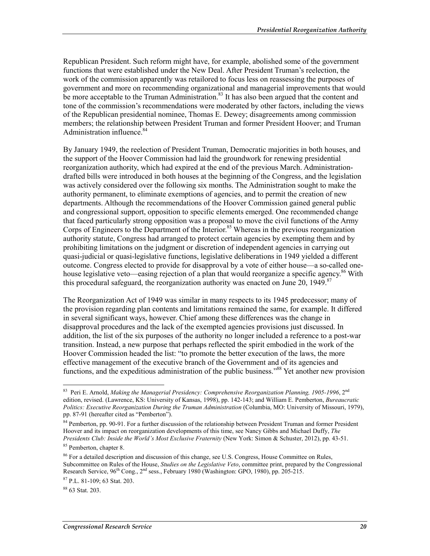Republican President. Such reform might have, for example, abolished some of the government functions that were established under the New Deal. After President Truman's reelection, the work of the commission apparently was retailored to focus less on reassessing the purposes of government and more on recommending organizational and managerial improvements that would be more acceptable to the Truman Administration.<sup>83</sup> It has also been argued that the content and tone of the commission's recommendations were moderated by other factors, including the views of the Republican presidential nominee, Thomas E. Dewey; disagreements among commission members; the relationship between President Truman and former President Hoover; and Truman Administration influence.<sup>84</sup>

By January 1949, the reelection of President Truman, Democratic majorities in both houses, and the support of the Hoover Commission had laid the groundwork for renewing presidential reorganization authority, which had expired at the end of the previous March. Administrationdrafted bills were introduced in both houses at the beginning of the Congress, and the legislation was actively considered over the following six months. The Administration sought to make the authority permanent, to eliminate exemptions of agencies, and to permit the creation of new departments. Although the recommendations of the Hoover Commission gained general public and congressional support, opposition to specific elements emerged. One recommended change that faced particularly strong opposition was a proposal to move the civil functions of the Army Corps of Engineers to the Department of the Interior.<sup>85</sup> Whereas in the previous reorganization authority statute, Congress had arranged to protect certain agencies by exempting them and by prohibiting limitations on the judgment or discretion of independent agencies in carrying out quasi-judicial or quasi-legislative functions, legislative deliberations in 1949 yielded a different outcome. Congress elected to provide for disapproval by a vote of either house—a so-called onehouse legislative veto—easing rejection of a plan that would reorganize a specific agency.<sup>86</sup> With this procedural safeguard, the reorganization authority was enacted on June 20, 1949.<sup>87</sup>

The Reorganization Act of 1949 was similar in many respects to its 1945 predecessor; many of the provision regarding plan contents and limitations remained the same, for example. It differed in several significant ways, however. Chief among these differences was the change in disapproval procedures and the lack of the exempted agencies provisions just discussed. In addition, the list of the six purposes of the authority no longer included a reference to a post-war transition. Instead, a new purpose that perhaps reflected the spirit embodied in the work of the Hoover Commission headed the list: "to promote the better execution of the laws, the more effective management of the executive branch of the Government and of its agencies and functions, and the expeditious administration of the public business.<sup>388</sup> Yet another new provision

<u>.</u>

<sup>83</sup> Peri E. Arnold, *Making the Managerial Presidency: Comprehensive Reorganization Planning, 1905-1996*, 2nd edition, revised. (Lawrence, KS: University of Kansas, 1998), pp. 142-143; and William E. Pemberton, *Bureaucratic Politics: Executive Reorganization During the Truman Administration* (Columbia, MO: University of Missouri, 1979), pp. 87-91 (hereafter cited as "Pemberton").

<sup>&</sup>lt;sup>84</sup> Pemberton, pp. 90-91. For a further discussion of the relationship between President Truman and former President Hoover and its impact on reorganization developments of this time, see Nancy Gibbs and Michael Duffy, *The Presidents Club: Inside the World's Most Exclusive Fraternity* (New York: Simon & Schuster, 2012), pp. 43-51.

<sup>&</sup>lt;sup>85</sup> Pemberton, chapter 8.

<sup>&</sup>lt;sup>86</sup> For a detailed description and discussion of this change, see U.S. Congress, House Committee on Rules, Subcommittee on Rules of the House, *Studies on the Legislative Veto*, committee print, prepared by the Congressional Research Service, 96<sup>th</sup> Cong., 2<sup>nd</sup> sess., February 1980 (Washington: GPO, 1980), pp. 205-215.

<sup>87</sup> P.L. 81-109; 63 Stat. 203.

<sup>88 63</sup> Stat. 203.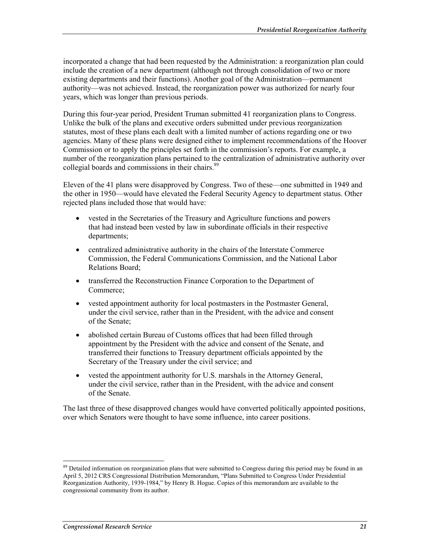incorporated a change that had been requested by the Administration: a reorganization plan could include the creation of a new department (although not through consolidation of two or more existing departments and their functions). Another goal of the Administration—permanent authority—was not achieved. Instead, the reorganization power was authorized for nearly four years, which was longer than previous periods.

During this four-year period, President Truman submitted 41 reorganization plans to Congress. Unlike the bulk of the plans and executive orders submitted under previous reorganization statutes, most of these plans each dealt with a limited number of actions regarding one or two agencies. Many of these plans were designed either to implement recommendations of the Hoover Commission or to apply the principles set forth in the commission's reports. For example, a number of the reorganization plans pertained to the centralization of administrative authority over collegial boards and commissions in their chairs.<sup>89</sup>

Eleven of the 41 plans were disapproved by Congress. Two of these—one submitted in 1949 and the other in 1950—would have elevated the Federal Security Agency to department status. Other rejected plans included those that would have:

- vested in the Secretaries of the Treasury and Agriculture functions and powers that had instead been vested by law in subordinate officials in their respective departments;
- centralized administrative authority in the chairs of the Interstate Commerce Commission, the Federal Communications Commission, and the National Labor Relations Board;
- transferred the Reconstruction Finance Corporation to the Department of Commerce;
- vested appointment authority for local postmasters in the Postmaster General, under the civil service, rather than in the President, with the advice and consent of the Senate;
- abolished certain Bureau of Customs offices that had been filled through appointment by the President with the advice and consent of the Senate, and transferred their functions to Treasury department officials appointed by the Secretary of the Treasury under the civil service; and
- vested the appointment authority for U.S. marshals in the Attorney General, under the civil service, rather than in the President, with the advice and consent of the Senate.

The last three of these disapproved changes would have converted politically appointed positions, over which Senators were thought to have some influence, into career positions.

<sup>&</sup>lt;sup>89</sup> Detailed information on reorganization plans that were submitted to Congress during this period may be found in an April 5, 2012 CRS Congressional Distribution Memorandum, "Plans Submitted to Congress Under Presidential Reorganization Authority, 1939-1984," by Henry B. Hogue. Copies of this memorandum are available to the congressional community from its author.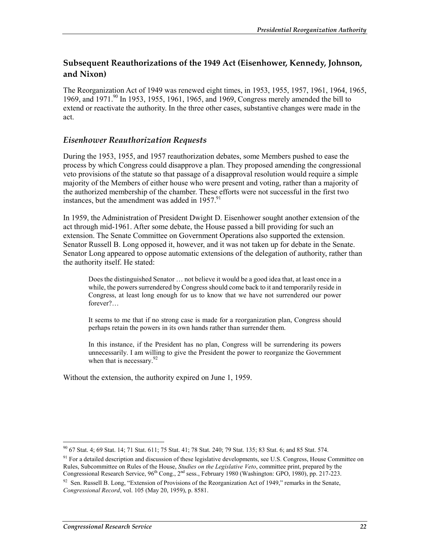### **Subsequent Reauthorizations of the 1949 Act (Eisenhower, Kennedy, Johnson, and Nixon)**

The Reorganization Act of 1949 was renewed eight times, in 1953, 1955, 1957, 1961, 1964, 1965, 1969, and 1971.<sup>90</sup> In 1953, 1955, 1961, 1965, and 1969, Congress merely amended the bill to extend or reactivate the authority. In the three other cases, substantive changes were made in the act.

#### *Eisenhower Reauthorization Requests*

During the 1953, 1955, and 1957 reauthorization debates, some Members pushed to ease the process by which Congress could disapprove a plan. They proposed amending the congressional veto provisions of the statute so that passage of a disapproval resolution would require a simple majority of the Members of either house who were present and voting, rather than a majority of the authorized membership of the chamber. These efforts were not successful in the first two instances, but the amendment was added in  $1957$ .<sup>91</sup>

In 1959, the Administration of President Dwight D. Eisenhower sought another extension of the act through mid-1961. After some debate, the House passed a bill providing for such an extension. The Senate Committee on Government Operations also supported the extension. Senator Russell B. Long opposed it, however, and it was not taken up for debate in the Senate. Senator Long appeared to oppose automatic extensions of the delegation of authority, rather than the authority itself. He stated:

Does the distinguished Senator ... not believe it would be a good idea that, at least once in a while, the powers surrendered by Congress should come back to it and temporarily reside in Congress, at least long enough for us to know that we have not surrendered our power forever?…

It seems to me that if no strong case is made for a reorganization plan, Congress should perhaps retain the powers in its own hands rather than surrender them.

In this instance, if the President has no plan, Congress will be surrendering its powers unnecessarily. I am willing to give the President the power to reorganize the Government when that is necessary.  $92$ 

Without the extension, the authority expired on June 1, 1959.

<sup>1</sup> 90 67 Stat. 4; 69 Stat. 14; 71 Stat. 611; 75 Stat. 41; 78 Stat. 240; 79 Stat. 135; 83 Stat. 6; and 85 Stat. 574.

 $91$  For a detailed description and discussion of these legislative developments, see U.S. Congress, House Committee on Rules, Subcommittee on Rules of the House, *Studies on the Legislative Veto*, committee print, prepared by the Congressional Research Service, 96<sup>th</sup> Cong., 2<sup>nd</sup> sess., February 1980 (Washington: GPO, 1980), pp. 217-223.

 $92$  Sen. Russell B. Long, "Extension of Provisions of the Reorganization Act of 1949," remarks in the Senate, *Congressional Record*, vol. 105 (May 20, 1959), p. 8581.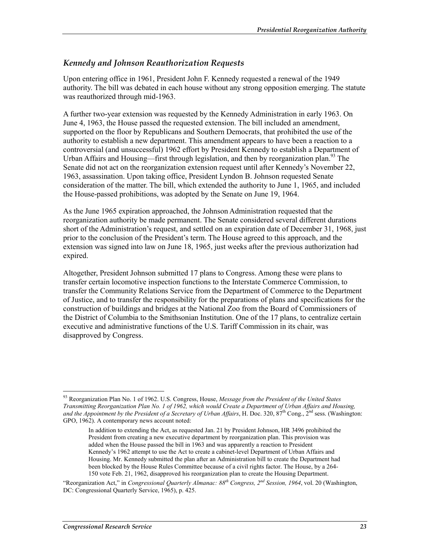#### *Kennedy and Johnson Reauthorization Requests*

Upon entering office in 1961, President John F. Kennedy requested a renewal of the 1949 authority. The bill was debated in each house without any strong opposition emerging. The statute was reauthorized through mid-1963.

A further two-year extension was requested by the Kennedy Administration in early 1963. On June 4, 1963, the House passed the requested extension. The bill included an amendment, supported on the floor by Republicans and Southern Democrats, that prohibited the use of the authority to establish a new department. This amendment appears to have been a reaction to a controversial (and unsuccessful) 1962 effort by President Kennedy to establish a Department of Urban Affairs and Housing—first through legislation, and then by reorganization plan.<sup>93</sup> The Senate did not act on the reorganization extension request until after Kennedy's November 22, 1963, assassination. Upon taking office, President Lyndon B. Johnson requested Senate consideration of the matter. The bill, which extended the authority to June 1, 1965, and included the House-passed prohibitions, was adopted by the Senate on June 19, 1964.

As the June 1965 expiration approached, the Johnson Administration requested that the reorganization authority be made permanent. The Senate considered several different durations short of the Administration's request, and settled on an expiration date of December 31, 1968, just prior to the conclusion of the President's term. The House agreed to this approach, and the extension was signed into law on June 18, 1965, just weeks after the previous authorization had expired.

Altogether, President Johnson submitted 17 plans to Congress. Among these were plans to transfer certain locomotive inspection functions to the Interstate Commerce Commission, to transfer the Community Relations Service from the Department of Commerce to the Department of Justice, and to transfer the responsibility for the preparations of plans and specifications for the construction of buildings and bridges at the National Zoo from the Board of Commissioners of the District of Columbia to the Smithsonian Institution. One of the 17 plans, to centralize certain executive and administrative functions of the U.S. Tariff Commission in its chair, was disapproved by Congress.

<u>.</u>

<sup>93</sup> Reorganization Plan No. 1 of 1962. U.S. Congress, House, *Message from the President of the United States Transmitting Reorganization Plan No. 1 of 1962, which would Create a Department of Urban Affairs and Housing, and the Appointment by the President of a Secretary of Urban Affairs*, H. Doc. 320, 87<sup>th</sup> Cong., 2<sup>nd</sup> sess. (Washington: GPO, 1962). A contemporary news account noted:

In addition to extending the Act, as requested Jan. 21 by President Johnson, HR 3496 prohibited the President from creating a new executive department by reorganization plan. This provision was added when the House passed the bill in 1963 and was apparently a reaction to President Kennedy's 1962 attempt to use the Act to create a cabinet-level Department of Urban Affairs and Housing. Mr. Kennedy submitted the plan after an Administration bill to create the Department had been blocked by the House Rules Committee because of a civil rights factor. The House, by a 264- 150 vote Feb. 21, 1962, disapproved his reorganization plan to create the Housing Department.

<sup>&</sup>quot;Reorganization Act," in *Congressional Quarterly Almanac: 88th Congress, 2nd Session, 1964*, vol. 20 (Washington, DC: Congressional Quarterly Service, 1965), p. 425.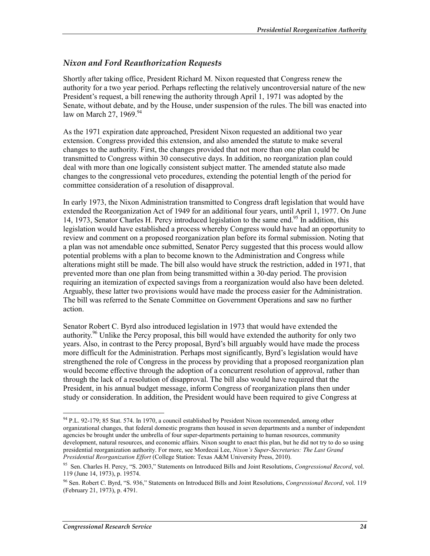#### *Nixon and Ford Reauthorization Requests*

Shortly after taking office, President Richard M. Nixon requested that Congress renew the authority for a two year period. Perhaps reflecting the relatively uncontroversial nature of the new President's request, a bill renewing the authority through April 1, 1971 was adopted by the Senate, without debate, and by the House, under suspension of the rules. The bill was enacted into law on March 27, 1969. $94$ 

As the 1971 expiration date approached, President Nixon requested an additional two year extension. Congress provided this extension, and also amended the statute to make several changes to the authority. First, the changes provided that not more than one plan could be transmitted to Congress within 30 consecutive days. In addition, no reorganization plan could deal with more than one logically consistent subject matter. The amended statute also made changes to the congressional veto procedures, extending the potential length of the period for committee consideration of a resolution of disapproval.

In early 1973, the Nixon Administration transmitted to Congress draft legislation that would have extended the Reorganization Act of 1949 for an additional four years, until April 1, 1977. On June 14, 1973, Senator Charles H. Percy introduced legislation to the same end.<sup>95</sup> In addition, this legislation would have established a process whereby Congress would have had an opportunity to review and comment on a proposed reorganization plan before its formal submission. Noting that a plan was not amendable once submitted, Senator Percy suggested that this process would allow potential problems with a plan to become known to the Administration and Congress while alterations might still be made. The bill also would have struck the restriction, added in 1971, that prevented more than one plan from being transmitted within a 30-day period. The provision requiring an itemization of expected savings from a reorganization would also have been deleted. Arguably, these latter two provisions would have made the process easier for the Administration. The bill was referred to the Senate Committee on Government Operations and saw no further action.

Senator Robert C. Byrd also introduced legislation in 1973 that would have extended the authority.<sup>96</sup> Unlike the Percy proposal, this bill would have extended the authority for only two years. Also, in contrast to the Percy proposal, Byrd's bill arguably would have made the process more difficult for the Administration. Perhaps most significantly, Byrd's legislation would have strengthened the role of Congress in the process by providing that a proposed reorganization plan would become effective through the adoption of a concurrent resolution of approval, rather than through the lack of a resolution of disapproval. The bill also would have required that the President, in his annual budget message, inform Congress of reorganization plans then under study or consideration. In addition, the President would have been required to give Congress at

<sup>94</sup> P.L. 92-179; 85 Stat. 574. In 1970, a council established by President Nixon recommended, among other organizational changes, that federal domestic programs then housed in seven departments and a number of independent agencies be brought under the umbrella of four super-departments pertaining to human resources, community development, natural resources, and economic affairs. Nixon sought to enact this plan, but he did not try to do so using presidential reorganization authority. For more, see Mordecai Lee, *Nixon's Super-Secretaries: The Last Grand Presidential Reorganization Effort* (College Station: Texas A&M University Press, 2010).

<sup>95</sup> Sen. Charles H. Percy, "S. 2003," Statements on Introduced Bills and Joint Resolutions, *Congressional Record*, vol. 119 (June 14, 1973), p. 19574.

<sup>96</sup> Sen. Robert C. Byrd, "S. 936," Statements on Introduced Bills and Joint Resolutions, *Congressional Record*, vol. 119 (February 21, 1973), p. 4791.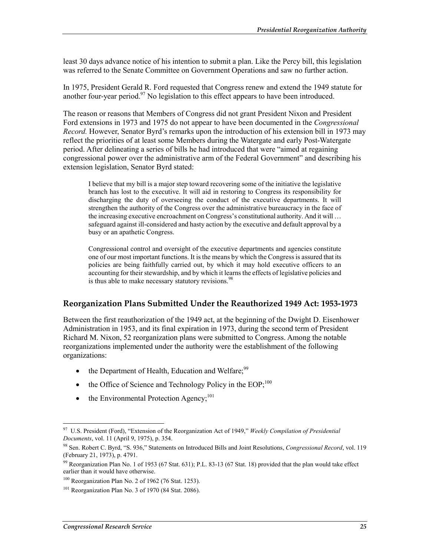least 30 days advance notice of his intention to submit a plan. Like the Percy bill, this legislation was referred to the Senate Committee on Government Operations and saw no further action.

In 1975, President Gerald R. Ford requested that Congress renew and extend the 1949 statute for another four-year period. $97$  No legislation to this effect appears to have been introduced.

The reason or reasons that Members of Congress did not grant President Nixon and President Ford extensions in 1973 and 1975 do not appear to have been documented in the *Congressional Record.* However, Senator Byrd's remarks upon the introduction of his extension bill in 1973 may reflect the priorities of at least some Members during the Watergate and early Post-Watergate period. After delineating a series of bills he had introduced that were "aimed at regaining congressional power over the administrative arm of the Federal Government" and describing his extension legislation, Senator Byrd stated:

I believe that my bill is a major step toward recovering some of the initiative the legislative branch has lost to the executive. It will aid in restoring to Congress its responsibility for discharging the duty of overseeing the conduct of the executive departments. It will strengthen the authority of the Congress over the administrative bureaucracy in the face of the increasing executive encroachment on Congress's constitutional authority. And it will … safeguard against ill-considered and hasty action by the executive and default approval by a busy or an apathetic Congress.

Congressional control and oversight of the executive departments and agencies constitute one of our most important functions. It is the means by which the Congress is assured that its policies are being faithfully carried out, by which it may hold executive officers to an accounting for their stewardship, and by which it learns the effects of legislative policies and is thus able to make necessary statutory revisions.<sup>98</sup>

#### **Reorganization Plans Submitted Under the Reauthorized 1949 Act: 1953-1973**

Between the first reauthorization of the 1949 act, at the beginning of the Dwight D. Eisenhower Administration in 1953, and its final expiration in 1973, during the second term of President Richard M. Nixon, 52 reorganization plans were submitted to Congress. Among the notable reorganizations implemented under the authority were the establishment of the following organizations:

- the Department of Health, Education and Welfare;  $99$
- the Office of Science and Technology Policy in the  $EOP<sub>1</sub><sup>100</sup>$
- $\bullet$  the Environmental Protection Agency:<sup>101</sup>

<sup>97</sup> U.S. President (Ford), "Extension of the Reorganization Act of 1949," *Weekly Compilation of Presidential Documents*, vol. 11 (April 9, 1975), p. 354.

<sup>98</sup> Sen. Robert C. Byrd, "S. 936," Statements on Introduced Bills and Joint Resolutions, *Congressional Record*, vol. 119 (February 21, 1973), p. 4791.

<sup>&</sup>lt;sup>99</sup> Reorganization Plan No. 1 of 1953 (67 Stat. 631); P.L. 83-13 (67 Stat. 18) provided that the plan would take effect earlier than it would have otherwise.

 $100$  Reorganization Plan No. 2 of 1962 (76 Stat. 1253).

 $101$  Reorganization Plan No. 3 of 1970 (84 Stat. 2086).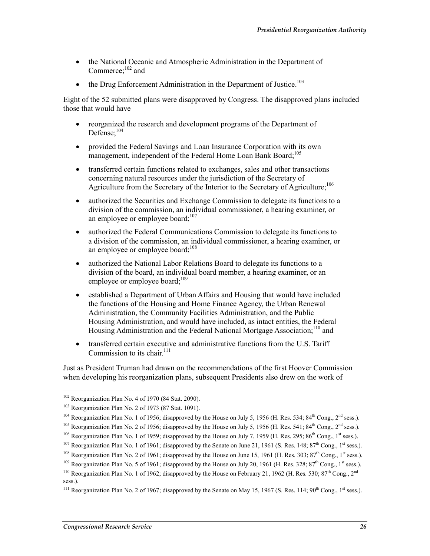- the National Oceanic and Atmospheric Administration in the Department of Commerce:<sup>102</sup> and
- the Drug Enforcement Administration in the Department of Justice.<sup>103</sup>

Eight of the 52 submitted plans were disapproved by Congress. The disapproved plans included those that would have

- reorganized the research and development programs of the Department of Defense; $104$
- provided the Federal Savings and Loan Insurance Corporation with its own management, independent of the Federal Home Loan Bank Board;<sup>105</sup>
- transferred certain functions related to exchanges, sales and other transactions concerning natural resources under the jurisdiction of the Secretary of Agriculture from the Secretary of the Interior to the Secretary of Agriculture;<sup>106</sup>
- authorized the Securities and Exchange Commission to delegate its functions to a division of the commission, an individual commissioner, a hearing examiner, or an employee or employee board; $107$
- authorized the Federal Communications Commission to delegate its functions to a division of the commission, an individual commissioner, a hearing examiner, or an employee or employee board; $108$
- authorized the National Labor Relations Board to delegate its functions to a division of the board, an individual board member, a hearing examiner, or an employee or employee board;<sup>109</sup>
- established a Department of Urban Affairs and Housing that would have included the functions of the Housing and Home Finance Agency, the Urban Renewal Administration, the Community Facilities Administration, and the Public Housing Administration, and would have included, as intact entities, the Federal Housing Administration and the Federal National Mortgage Association;<sup>110</sup> and
- transferred certain executive and administrative functions from the U.S. Tariff Commission to its chair  $^{111}$

Just as President Truman had drawn on the recommendations of the first Hoover Commission when developing his reorganization plans, subsequent Presidents also drew on the work of

<u>.</u>

<sup>102</sup> Reorganization Plan No. 4 of 1970 (84 Stat. 2090).

<sup>103</sup> Reorganization Plan No. 2 of 1973 (87 Stat. 1091).

<sup>&</sup>lt;sup>104</sup> Reorganization Plan No. 1 of 1956; disapproved by the House on July 5, 1956 (H. Res. 534;  $84^{th}$  Cong.,  $2^{nd}$  sess.).

<sup>&</sup>lt;sup>105</sup> Reorganization Plan No. 2 of 1956; disapproved by the House on July 5, 1956 (H. Res. 541; 84<sup>th</sup> Cong., 2<sup>nd</sup> sess.).

<sup>&</sup>lt;sup>106</sup> Reorganization Plan No. 1 of 1959; disapproved by the House on July 7, 1959 (H. Res. 295; 86<sup>th</sup> Cong., 1<sup>st</sup> sess.).

<sup>&</sup>lt;sup>107</sup> Reorganization Plan No. 1 of 1961; disapproved by the Senate on June 21, 1961 (S. Res. 148;  $87<sup>th</sup>$  Cong., 1<sup>st</sup> sess.).

<sup>&</sup>lt;sup>108</sup> Reorganization Plan No. 2 of 1961; disapproved by the House on June 15, 1961 (H. Res. 303; 87<sup>th</sup> Cong., 1<sup>st</sup> sess.).

<sup>&</sup>lt;sup>109</sup> Reorganization Plan No. 5 of 1961; disapproved by the House on July 20, 1961 (H. Res. 328;  $87^{th}$  Cong., 1<sup>st</sup> sess.).

<sup>&</sup>lt;sup>110</sup> Reorganization Plan No. 1 of 1962; disapproved by the House on February 21, 1962 (H. Res. 530; 87<sup>th</sup> Cong., 2<sup>nd</sup> sess.).

<sup>&</sup>lt;sup>111</sup> Reorganization Plan No. 2 of 1967; disapproved by the Senate on May 15, 1967 (S. Res. 114; 90<sup>th</sup> Cong., 1<sup>st</sup> sess.).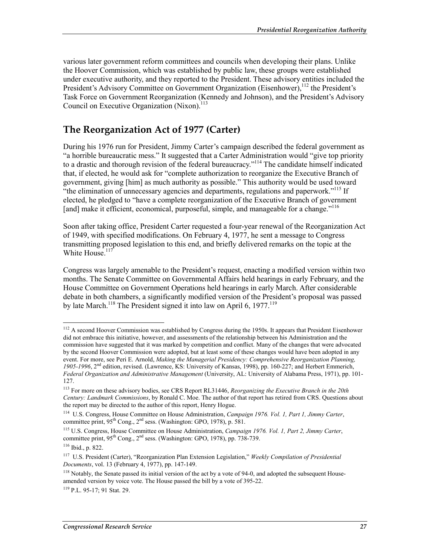various later government reform committees and councils when developing their plans. Unlike the Hoover Commission, which was established by public law, these groups were established under executive authority, and they reported to the President. These advisory entities included the President's Advisory Committee on Government Organization (Eisenhower),<sup>112</sup> the President's Task Force on Government Reorganization (Kennedy and Johnson), and the President's Advisory Council on Executive Organization (Nixon).<sup>113</sup>

### **The Reorganization Act of 1977 (Carter)**

During his 1976 run for President, Jimmy Carter's campaign described the federal government as "a horrible bureaucratic mess." It suggested that a Carter Administration would "give top priority to a drastic and thorough revision of the federal bureaucracy."114 The candidate himself indicated that, if elected, he would ask for "complete authorization to reorganize the Executive Branch of government, giving [him] as much authority as possible." This authority would be used toward "the elimination of unnecessary agencies and departments, regulations and paperwork."<sup>115</sup> If elected, he pledged to "have a complete reorganization of the Executive Branch of government [and] make it efficient, economical, purposeful, simple, and manageable for a change.<sup>"116</sup>

Soon after taking office, President Carter requested a four-year renewal of the Reorganization Act of 1949, with specified modifications. On February 4, 1977, he sent a message to Congress transmitting proposed legislation to this end, and briefly delivered remarks on the topic at the White House.<sup>117</sup>

Congress was largely amenable to the President's request, enacting a modified version within two months. The Senate Committee on Governmental Affairs held hearings in early February, and the House Committee on Government Operations held hearings in early March. After considerable debate in both chambers, a significantly modified version of the President's proposal was passed by late March.<sup>118</sup> The President signed it into law on April 6, 1977.<sup>119</sup>

<u>.</u>

<sup>&</sup>lt;sup>112</sup> A second Hoover Commission was established by Congress during the 1950s. It appears that President Eisenhower did not embrace this initiative, however, and assessments of the relationship between his Administration and the commission have suggested that it was marked by competition and conflict. Many of the changes that were advocated by the second Hoover Commission were adopted, but at least some of these changes would have been adopted in any event. For more, see Peri E. Arnold, *Making the Managerial Presidency: Comprehensive Reorganization Planning, 1905-1996*, 2nd edition, revised. (Lawrence, KS: University of Kansas, 1998), pp. 160-227; and Herbert Emmerich, *Federal Organization and Administrative Management* (University, AL: University of Alabama Press, 1971), pp. 101- 127.

<sup>113</sup> For more on these advisory bodies, see CRS Report RL31446, *Reorganizing the Executive Branch in the 20th Century: Landmark Commissions*, by Ronald C. Moe. The author of that report has retired from CRS. Questions about the report may be directed to the author of this report, Henry Hogue.

<sup>114</sup> U.S. Congress, House Committee on House Administration, *Campaign 1976. Vol. 1, Part 1, Jimmy Carter*, committee print,  $95<sup>th</sup> Cong., 2<sup>nd</sup> sess.$  (Washington: GPO, 1978), p. 581.

<sup>115</sup> U.S. Congress, House Committee on House Administration, *Campaign 1976. Vol. 1, Part 2, Jimmy Carter*, committee print,  $95<sup>th</sup>$  Cong.,  $2<sup>nd</sup>$  sess. (Washington: GPO, 1978), pp. 738-739.

<sup>116</sup> Ibid., p. 822.

<sup>117</sup> U.S. President (Carter), "Reorganization Plan Extension Legislation," *Weekly Compilation of Presidential Documents*, vol. 13 (February 4, 1977), pp. 147-149.

<sup>&</sup>lt;sup>118</sup> Notably, the Senate passed its initial version of the act by a vote of 94-0, and adopted the subsequent Houseamended version by voice vote. The House passed the bill by a vote of 395-22.

<sup>119</sup> P.L. 95-17; 91 Stat. 29.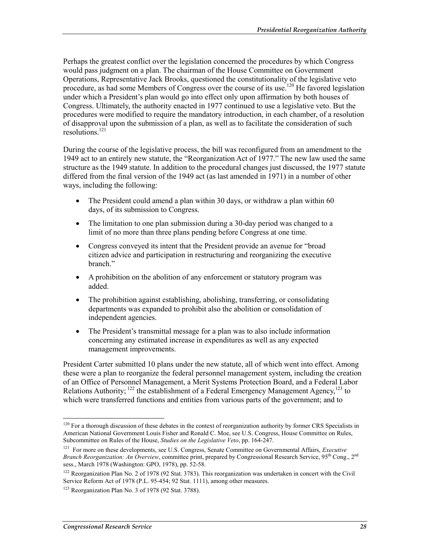Perhaps the greatest conflict over the legislation concerned the procedures by which Congress would pass judgment on a plan. The chairman of the House Committee on Government Operations, Representative Jack Brooks, questioned the constitutionality of the legislative veto procedure, as had some Members of Congress over the course of its use.<sup>120</sup> He favored legislation under which a President's plan would go into effect only upon affirmation by both houses of Congress. Ultimately, the authority enacted in 1977 continued to use a legislative veto. But the procedures were modified to require the mandatory introduction, in each chamber, of a resolution of disapproval upon the submission of a plan, as well as to facilitate the consideration of such resolutions<sup>121</sup>

During the course of the legislative process, the bill was reconfigured from an amendment to the 1949 act to an entirely new statute, the "Reorganization Act of 1977." The new law used the same structure as the 1949 statute. In addition to the procedural changes just discussed, the 1977 statute differed from the final version of the 1949 act (as last amended in 1971) in a number of other ways, including the following:

- The President could amend a plan within 30 days, or withdraw a plan within 60 days, of its submission to Congress.
- The limitation to one plan submission during a 30-day period was changed to a limit of no more than three plans pending before Congress at one time.
- Congress conveyed its intent that the President provide an avenue for "broad" citizen advice and participation in restructuring and reorganizing the executive branch."
- A prohibition on the abolition of any enforcement or statutory program was added.
- The prohibition against establishing, abolishing, transferring, or consolidating departments was expanded to prohibit also the abolition or consolidation of independent agencies.
- The President's transmittal message for a plan was to also include information concerning any estimated increase in expenditures as well as any expected management improvements.

President Carter submitted 10 plans under the new statute, all of which went into effect. Among these were a plan to reorganize the federal personnel management system, including the creation of an Office of Personnel Management, a Merit Systems Protection Board, and a Federal Labor Relations Authority;  $^{122}$  the establishment of a Federal Emergency Management Agency,  $^{123}$  to which were transferred functions and entities from various parts of the government; and to

 $120$  For a thorough discussion of these debates in the context of reorganization authority by former CRS Specialists in American National Government Louis Fisher and Ronald C. Moe, see U.S. Congress, House Committee on Rules, Subcommittee on Rules of the House, *Studies on the Legislative Veto*, pp. 164-247.

<sup>121</sup> For more on these developments, see U.S. Congress, Senate Committee on Governmental Affairs, *Executive Branch Reorganization: An Overview*, committee print, prepared by Congressional Research Service, 95<sup>th</sup> Cong., 2<sup>nd</sup> sess., March 1978 (Washington: GPO, 1978), pp. 52-58.

 $122$  Reorganization Plan No. 2 of 1978 (92 Stat. 3783). This reorganization was undertaken in concert with the Civil Service Reform Act of 1978 (P.L. 95-454; 92 Stat. 1111), among other measures.

<sup>123</sup> Reorganization Plan No. 3 of 1978 (92 Stat. 3788).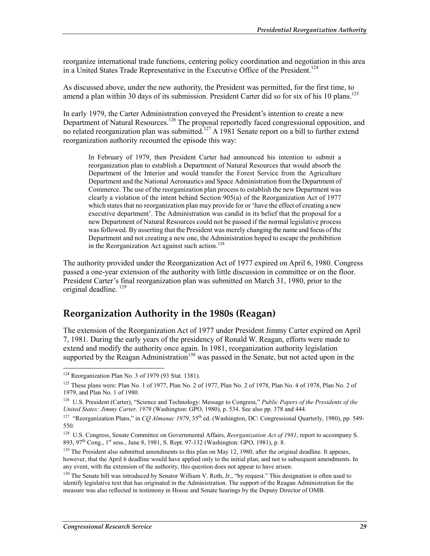reorganize international trade functions, centering policy coordination and negotiation in this area in a United States Trade Representative in the Executive Office of the President.<sup>124</sup>

As discussed above, under the new authority, the President was permitted, for the first time, to amend a plan within 30 days of its submission. President Carter did so for six of his 10 plans.<sup>125</sup>

In early 1979, the Carter Administration conveyed the President's intention to create a new Department of Natural Resources.<sup>126</sup> The proposal reportedly faced congressional opposition, and no related reorganization plan was submitted.<sup>127</sup> A 1981 Senate report on a bill to further extend reorganization authority recounted the episode this way:

In February of 1979, then President Carter had announced his intention to submit a reorganization plan to establish a Department of Natural Resources that would absorb the Department of the Interior and would transfer the Forest Service from the Agriculture Department and the National Aeronautics and Space Administration from the Department of Commerce. The use of the reorganization plan process to establish the new Department was clearly a violation of the intent behind Section 905(a) of the Reorganization Act of 1977 which states that no reorganization plan may provide for or 'have the effect of creating a new executive department'. The Administration was candid in its belief that the proposal for a new Department of Natural Resources could not be passed if the normal legislative process was followed. By asserting that the President was merely changing the name and focus of the Department and not creating a new one, the Administration hoped to escape the prohibition in the Reorganization Act against such action.<sup>128</sup>

The authority provided under the Reorganization Act of 1977 expired on April 6, 1980. Congress passed a one-year extension of the authority with little discussion in committee or on the floor. President Carter's final reorganization plan was submitted on March 31, 1980, prior to the original deadline.<sup>129</sup>

### **Reorganization Authority in the 1980s (Reagan)**

The extension of the Reorganization Act of 1977 under President Jimmy Carter expired on April 7, 1981. During the early years of the presidency of Ronald W. Reagan, efforts were made to extend and modify the authority once again. In 1981, reorganization authority legislation supported by the Reagan Administration<sup>130</sup> was passed in the Senate, but not acted upon in the

<sup>124</sup> Reorganization Plan No. 3 of 1979 (93 Stat. 1381).

<sup>&</sup>lt;sup>125</sup> These plans were: Plan No. 1 of 1977, Plan No. 2 of 1977, Plan No. 2 of 1978, Plan No. 4 of 1978, Plan No. 2 of 1979, and Plan No. 1 of 1980.

<sup>126</sup> U.S. President (Carter), "Science and Technology: Message to Congress," *Public Papers of the Presidents of the United States: Jimmy Carter, 1979* (Washington: GPO, 1980), p. 534. See also pp. 378 and 444.

<sup>&</sup>lt;sup>127</sup> "Reorganization Plans," in *CO Almanac 1979*, 35<sup>th</sup> ed. (Washington, DC: Congressional Quarterly, 1980), pp. 549-550.

<sup>128</sup> U.S. Congress, Senate Committee on Governmental Affairs, *Reorganization Act of 1981*, report to accompany S. 893, 97<sup>th</sup> Cong., 1<sup>st</sup> sess., June 8, 1981, S. Rept. 97-132 (Washington: GPO, 1981), p. 8.

<sup>&</sup>lt;sup>129</sup> The President also submitted amendments to this plan on May 12, 1980, after the original deadline. It appears, however, that the April 6 deadline would have applied only to the initial plan, and not to subsequent amendments. In any event, with the extension of the authority, this question does not appear to have arisen.

<sup>&</sup>lt;sup>130</sup> The Senate bill was introduced by Senator William V. Roth, Jr., "by request." This designation is often used to identify legislative text that has originated in the Administration. The support of the Reagan Administration for the measure was also reflected in testimony in House and Senate hearings by the Deputy Director of OMB.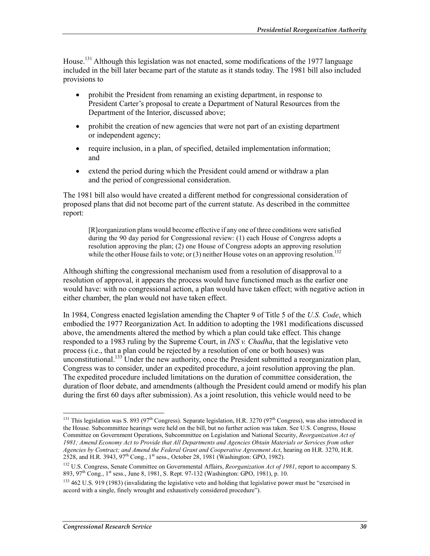House.<sup>131</sup> Although this legislation was not enacted, some modifications of the 1977 language included in the bill later became part of the statute as it stands today. The 1981 bill also included provisions to

- prohibit the President from renaming an existing department, in response to President Carter's proposal to create a Department of Natural Resources from the Department of the Interior, discussed above;
- prohibit the creation of new agencies that were not part of an existing department or independent agency;
- require inclusion, in a plan, of specified, detailed implementation information; and
- extend the period during which the President could amend or withdraw a plan and the period of congressional consideration.

The 1981 bill also would have created a different method for congressional consideration of proposed plans that did not become part of the current statute. As described in the committee report:

[R]eorganization plans would become effective if any one of three conditions were satisfied during the 90 day period for Congressional review: (1) each House of Congress adopts a resolution approving the plan; (2) one House of Congress adopts an approving resolution while the other House fails to vote; or  $(3)$  neither House votes on an approving resolution.<sup>132</sup>

Although shifting the congressional mechanism used from a resolution of disapproval to a resolution of approval, it appears the process would have functioned much as the earlier one would have: with no congressional action, a plan would have taken effect; with negative action in either chamber, the plan would not have taken effect.

In 1984, Congress enacted legislation amending the Chapter 9 of Title 5 of the *U.S. Code*, which embodied the 1977 Reorganization Act. In addition to adopting the 1981 modifications discussed above, the amendments altered the method by which a plan could take effect. This change responded to a 1983 ruling by the Supreme Court, in *INS v. Chadha*, that the legislative veto process (i.e., that a plan could be rejected by a resolution of one or both houses) was unconstitutional.<sup>133</sup> Under the new authority, once the President submitted a reorganization plan, Congress was to consider, under an expedited procedure, a joint resolution approving the plan. The expedited procedure included limitations on the duration of committee consideration, the duration of floor debate, and amendments (although the President could amend or modify his plan during the first 60 days after submission). As a joint resolution, this vehicle would need to be

<sup>&</sup>lt;sup>131</sup> This legislation was S. 893 (97<sup>th</sup> Congress). Separate legislation, H.R. 3270 (97<sup>th</sup> Congress), was also introduced in the House. Subcommittee hearings were held on the bill, but no further action was taken. See U.S. Congress, House Committee on Government Operations, Subcommittee on Legislation and National Security, *Reorganization Act of 1981; Amend Economy Act to Provide that All Departments and Agencies Obtain Materials or Services from other Agencies by Contract; and Amend the Federal Grant and Cooperative Agreement Act*, hearing on H.R. 3270, H.R. 2528, and H.R. 3943,  $97^{th}$  Cong., 1<sup>st</sup> sess., October 28, 1981 (Washington: GPO, 1982).

<sup>132</sup> U.S. Congress, Senate Committee on Governmental Affairs, *Reorganization Act of 1981*, report to accompany S. 893, 97<sup>th</sup> Cong., 1<sup>st</sup> sess., June 8, 1981, S. Rept. 97-132 (Washington: GPO, 1981), p. 10.

<sup>&</sup>lt;sup>133</sup> 462 U.S. 919 (1983) (invalidating the legislative veto and holding that legislative power must be "exercised in accord with a single, finely wrought and exhaustively considered procedure").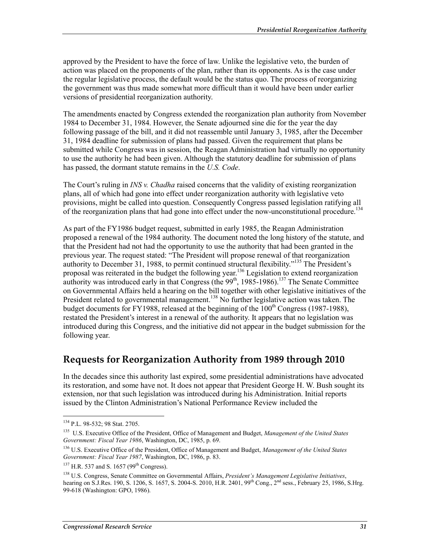approved by the President to have the force of law. Unlike the legislative veto, the burden of action was placed on the proponents of the plan, rather than its opponents. As is the case under the regular legislative process, the default would be the status quo. The process of reorganizing the government was thus made somewhat more difficult than it would have been under earlier versions of presidential reorganization authority.

The amendments enacted by Congress extended the reorganization plan authority from November 1984 to December 31, 1984. However, the Senate adjourned sine die for the year the day following passage of the bill, and it did not reassemble until January 3, 1985, after the December 31, 1984 deadline for submission of plans had passed. Given the requirement that plans be submitted while Congress was in session, the Reagan Administration had virtually no opportunity to use the authority he had been given. Although the statutory deadline for submission of plans has passed, the dormant statute remains in the *U.S. Code*.

The Court's ruling in *INS v. Chadha* raised concerns that the validity of existing reorganization plans, all of which had gone into effect under reorganization authority with legislative veto provisions, might be called into question. Consequently Congress passed legislation ratifying all of the reorganization plans that had gone into effect under the now-unconstitutional procedure.<sup>134</sup>

As part of the FY1986 budget request, submitted in early 1985, the Reagan Administration proposed a renewal of the 1984 authority. The document noted the long history of the statute, and that the President had not had the opportunity to use the authority that had been granted in the previous year. The request stated: "The President will propose renewal of that reorganization authority to December 31, 1988, to permit continued structural flexibility."135 The President's proposal was reiterated in the budget the following year.136 Legislation to extend reorganization authority was introduced early in that Congress (the  $99<sup>th</sup>$ , 1985-1986).<sup>137</sup> The Senate Committee on Governmental Affairs held a hearing on the bill together with other legislative initiatives of the President related to governmental management.<sup>138</sup> No further legislative action was taken. The budget documents for FY1988, released at the beginning of the  $100<sup>th</sup>$  Congress (1987-1988), restated the President's interest in a renewal of the authority. It appears that no legislation was introduced during this Congress, and the initiative did not appear in the budget submission for the following year.

### **Requests for Reorganization Authority from 1989 through 2010**

In the decades since this authority last expired, some presidential administrations have advocated its restoration, and some have not. It does not appear that President George H. W. Bush sought its extension, nor that such legislation was introduced during his Administration. Initial reports issued by the Clinton Administration's National Performance Review included the

<sup>1</sup> 134 P.L. 98-532; 98 Stat. 2705.

<sup>135</sup> U.S. Executive Office of the President, Office of Management and Budget, *Management of the United States Government: Fiscal Year 1986*, Washington, DC, 1985, p. 69.

<sup>136</sup> U.S. Executive Office of the President, Office of Management and Budget, *Management of the United States Government: Fiscal Year 1987*, Washington, DC, 1986, p. 83.

 $137$  H.R. 537 and S. 1657 (99<sup>th</sup> Congress).

<sup>138</sup> U.S. Congress, Senate Committee on Governmental Affairs, *President's Management Legislative Initiatives*, hearing on S.J.Res. 190, S. 1206, S. 1657, S. 2004-S. 2010, H.R. 2401, 99<sup>th</sup> Cong., 2<sup>nd</sup> sess., February 25, 1986, S.Hrg. 99-618 (Washington: GPO, 1986).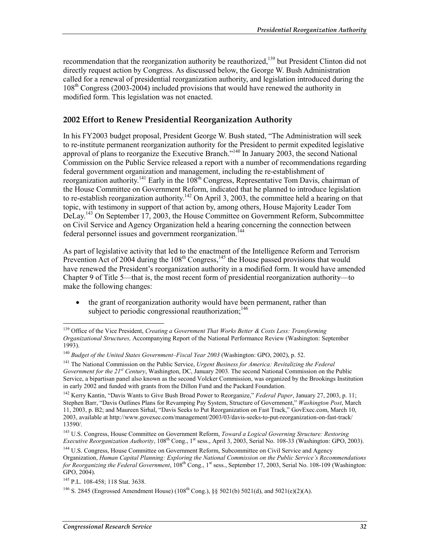recommendation that the reorganization authority be reauthorized,<sup>139</sup> but President Clinton did not directly request action by Congress. As discussed below, the George W. Bush Administration called for a renewal of presidential reorganization authority, and legislation introduced during the 108th Congress (2003-2004) included provisions that would have renewed the authority in modified form. This legislation was not enacted.

### **2002 Effort to Renew Presidential Reorganization Authority**

In his FY2003 budget proposal, President George W. Bush stated, "The Administration will seek to re-institute permanent reorganization authority for the President to permit expedited legislative approval of plans to reorganize the Executive Branch."140 In January 2003, the second National Commission on the Public Service released a report with a number of recommendations regarding federal government organization and management, including the re-establishment of reorganization authority.<sup>141</sup> Early in the 108<sup>th</sup> Congress, Representative Tom Davis, chairman of the House Committee on Government Reform, indicated that he planned to introduce legislation to re-establish reorganization authority.<sup>142</sup> On April 3, 2003, the committee held a hearing on that topic, with testimony in support of that action by, among others, House Majority Leader Tom DeLay.<sup>143</sup> On September 17, 2003, the House Committee on Government Reform, Subcommittee on Civil Service and Agency Organization held a hearing concerning the connection between federal personnel issues and government reorganization.<sup>144</sup>

As part of legislative activity that led to the enactment of the Intelligence Reform and Terrorism Prevention Act of 2004 during the  $108<sup>th</sup>$  Congress,<sup>145</sup> the House passed provisions that would have renewed the President's reorganization authority in a modified form. It would have amended Chapter 9 of Title 5—that is, the most recent form of presidential reorganization authority—to make the following changes:

• the grant of reorganization authority would have been permanent, rather than subject to periodic congressional reauthorization; $^{146}$ 

<sup>139</sup> Office of the Vice President, *Creating a Government That Works Better & Costs Less: Transforming Organizational Structures,* Accompanying Report of the National Performance Review (Washington: September 1993).

<sup>140</sup> *Budget of the United States Government–Fiscal Year 2003* (Washington: GPO, 2002), p. 52.

<sup>141</sup> The National Commission on the Public Service, *Urgent Business for America: Revitalizing the Federal Government for the 21st Century*, Washington, DC, January 2003. The second National Commission on the Public Service, a bipartisan panel also known as the second Volcker Commission, was organized by the Brookings Institution in early 2002 and funded with grants from the Dillon Fund and the Packard Foundation.

<sup>142</sup> Kerry Kantin, "Davis Wants to Give Bush Broad Power to Reorganize," *Federal Paper*, January 27, 2003, p. 11; Stephen Barr, "Davis Outlines Plans for Revamping Pay System, Structure of Government," *Washington Post*, March 11, 2003, p. B2; and Maureen Sirhal, "Davis Seeks to Put Reorganization on Fast Track," GovExec.com, March 10, 2003, available at http://www.govexec.com/management/2003/03/davis-seeks-to-put-reorganization-on-fast-track/ 13590/.

<sup>143</sup> U.S. Congress, House Committee on Government Reform, *Toward a Logical Governing Structure: Restoring Executive Reorganization Authority*, 108<sup>th</sup> Cong., 1<sup>st</sup> sess., April 3, 2003, Serial No. 108-33 (Washington: GPO, 2003).

<sup>&</sup>lt;sup>144</sup> U.S. Congress, House Committee on Government Reform, Subcommittee on Civil Service and Agency Organization, *Human Capital Planning: Exploring the National Commission on the Public Service's Recommendations for Reorganizing the Federal Government*, 108<sup>th</sup> Cong., 1<sup>st</sup> sess., September 17, 2003, Serial No. 108-109 (Washington: GPO, 2004).

<sup>&</sup>lt;sup>145</sup> P.L. 108-458; 118 Stat. 3638.

<sup>&</sup>lt;sup>146</sup> S. 2845 (Engrossed Amendment House) (108<sup>th</sup> Cong.), §§ 5021(b) 5021(d), and 5021(e)(2)(A).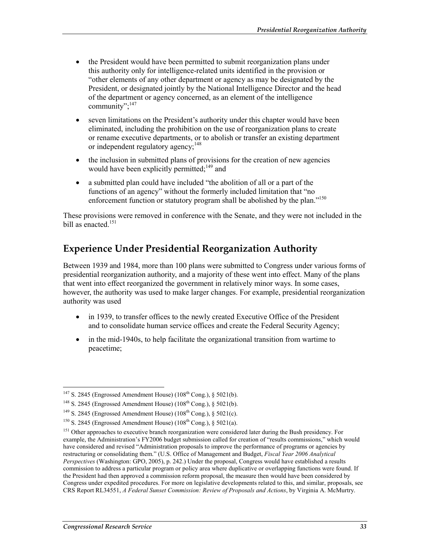- the President would have been permitted to submit reorganization plans under this authority only for intelligence-related units identified in the provision or "other elements of any other department or agency as may be designated by the President, or designated jointly by the National Intelligence Director and the head of the department or agency concerned, as an element of the intelligence community";147
- seven limitations on the President's authority under this chapter would have been eliminated, including the prohibition on the use of reorganization plans to create or rename executive departments, or to abolish or transfer an existing department or independent regulatory agency;<sup>148</sup>
- the inclusion in submitted plans of provisions for the creation of new agencies would have been explicitly permitted:<sup>149</sup> and
- a submitted plan could have included "the abolition of all or a part of the functions of an agency" without the formerly included limitation that "no enforcement function or statutory program shall be abolished by the plan."150

These provisions were removed in conference with the Senate, and they were not included in the bill as enacted.<sup>151</sup>

### **Experience Under Presidential Reorganization Authority**

Between 1939 and 1984, more than 100 plans were submitted to Congress under various forms of presidential reorganization authority, and a majority of these went into effect. Many of the plans that went into effect reorganized the government in relatively minor ways. In some cases, however, the authority was used to make larger changes. For example, presidential reorganization authority was used

- in 1939, to transfer offices to the newly created Executive Office of the President and to consolidate human service offices and create the Federal Security Agency;
- in the mid-1940s, to help facilitate the organizational transition from wartime to peacetime;

<sup>&</sup>lt;u>.</u>  $147$  S. 2845 (Engrossed Amendment House) (108<sup>th</sup> Cong.), § 5021(b).

<sup>&</sup>lt;sup>148</sup> S. 2845 (Engrossed Amendment House) ( $108<sup>th</sup>$  Cong.), § 5021(b).

<sup>&</sup>lt;sup>149</sup> S. 2845 (Engrossed Amendment House) (108<sup>th</sup> Cong.), § 5021(c).

<sup>&</sup>lt;sup>150</sup> S. 2845 (Engrossed Amendment House) (108<sup>th</sup> Cong.), § 5021(a).

<sup>&</sup>lt;sup>151</sup> Other approaches to executive branch reorganization were considered later during the Bush presidency. For example, the Administration's FY2006 budget submission called for creation of "results commissions," which would have considered and revised "Administration proposals to improve the performance of programs or agencies by restructuring or consolidating them." (U.S. Office of Management and Budget, *Fiscal Year 2006 Analytical Perspectives* (Washington: GPO, 2005), p. 242.) Under the proposal, Congress would have established a results commission to address a particular program or policy area where duplicative or overlapping functions were found. If the President had then approved a commission reform proposal, the measure then would have been considered by Congress under expedited procedures. For more on legislative developments related to this, and similar, proposals, see CRS Report RL34551, *A Federal Sunset Commission: Review of Proposals and Actions*, by Virginia A. McMurtry.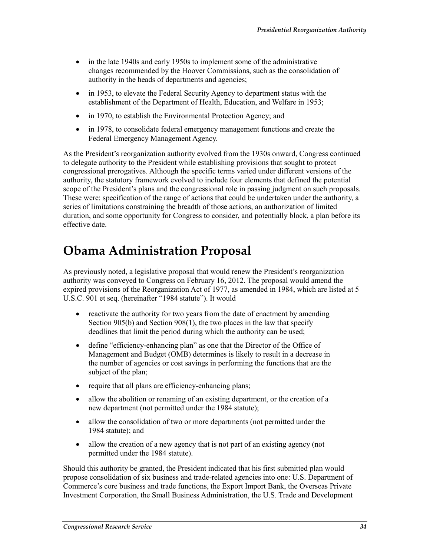- in the late 1940s and early 1950s to implement some of the administrative changes recommended by the Hoover Commissions, such as the consolidation of authority in the heads of departments and agencies;
- in 1953, to elevate the Federal Security Agency to department status with the establishment of the Department of Health, Education, and Welfare in 1953;
- in 1970, to establish the Environmental Protection Agency; and
- in 1978, to consolidate federal emergency management functions and create the Federal Emergency Management Agency.

As the President's reorganization authority evolved from the 1930s onward, Congress continued to delegate authority to the President while establishing provisions that sought to protect congressional prerogatives. Although the specific terms varied under different versions of the authority, the statutory framework evolved to include four elements that defined the potential scope of the President's plans and the congressional role in passing judgment on such proposals. These were: specification of the range of actions that could be undertaken under the authority, a series of limitations constraining the breadth of those actions, an authorization of limited duration, and some opportunity for Congress to consider, and potentially block, a plan before its effective date.

## **Obama Administration Proposal**

As previously noted, a legislative proposal that would renew the President's reorganization authority was conveyed to Congress on February 16, 2012. The proposal would amend the expired provisions of the Reorganization Act of 1977, as amended in 1984, which are listed at 5 U.S.C. 901 et seq. (hereinafter "1984 statute"). It would

- reactivate the authority for two years from the date of enactment by amending Section 905(b) and Section 908(1), the two places in the law that specify deadlines that limit the period during which the authority can be used;
- define "efficiency-enhancing plan" as one that the Director of the Office of Management and Budget (OMB) determines is likely to result in a decrease in the number of agencies or cost savings in performing the functions that are the subject of the plan;
- require that all plans are efficiency-enhancing plans;
- allow the abolition or renaming of an existing department, or the creation of a new department (not permitted under the 1984 statute);
- allow the consolidation of two or more departments (not permitted under the 1984 statute); and
- allow the creation of a new agency that is not part of an existing agency (not permitted under the 1984 statute).

Should this authority be granted, the President indicated that his first submitted plan would propose consolidation of six business and trade-related agencies into one: U.S. Department of Commerce's core business and trade functions, the Export Import Bank, the Overseas Private Investment Corporation, the Small Business Administration, the U.S. Trade and Development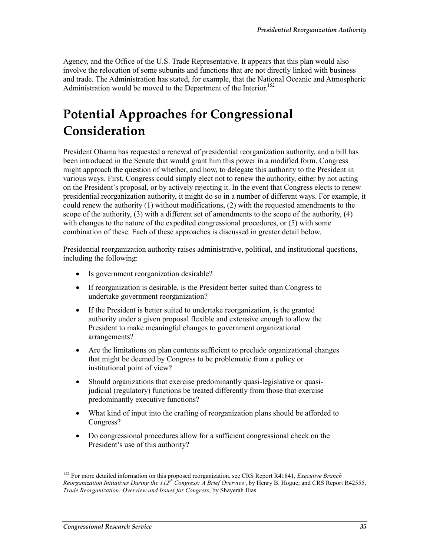Agency, and the Office of the U.S. Trade Representative. It appears that this plan would also involve the relocation of some subunits and functions that are not directly linked with business and trade. The Administration has stated, for example, that the National Oceanic and Atmospheric Administration would be moved to the Department of the Interior.<sup>152</sup>

## **Potential Approaches for Congressional Consideration**

President Obama has requested a renewal of presidential reorganization authority, and a bill has been introduced in the Senate that would grant him this power in a modified form. Congress might approach the question of whether, and how, to delegate this authority to the President in various ways. First, Congress could simply elect not to renew the authority, either by not acting on the President's proposal, or by actively rejecting it. In the event that Congress elects to renew presidential reorganization authority, it might do so in a number of different ways. For example, it could renew the authority (1) without modifications, (2) with the requested amendments to the scope of the authority, (3) with a different set of amendments to the scope of the authority, (4) with changes to the nature of the expedited congressional procedures, or (5) with some combination of these. Each of these approaches is discussed in greater detail below.

Presidential reorganization authority raises administrative, political, and institutional questions, including the following:

- Is government reorganization desirable?
- If reorganization is desirable, is the President better suited than Congress to undertake government reorganization?
- If the President is better suited to undertake reorganization, is the granted authority under a given proposal flexible and extensive enough to allow the President to make meaningful changes to government organizational arrangements?
- Are the limitations on plan contents sufficient to preclude organizational changes that might be deemed by Congress to be problematic from a policy or institutional point of view?
- Should organizations that exercise predominantly quasi-legislative or quasijudicial (regulatory) functions be treated differently from those that exercise predominantly executive functions?
- What kind of input into the crafting of reorganization plans should be afforded to Congress?
- Do congressional procedures allow for a sufficient congressional check on the President's use of this authority?

<sup>152</sup> For more detailed information on this proposed reorganization, see CRS Report R41841, *Executive Branch Reorganization Initiatives During the 112th Congress: A Brief Overview*, by Henry B. Hogue; and CRS Report R42555, *Trade Reorganization: Overview and Issues for Congress*, by Shayerah Ilias.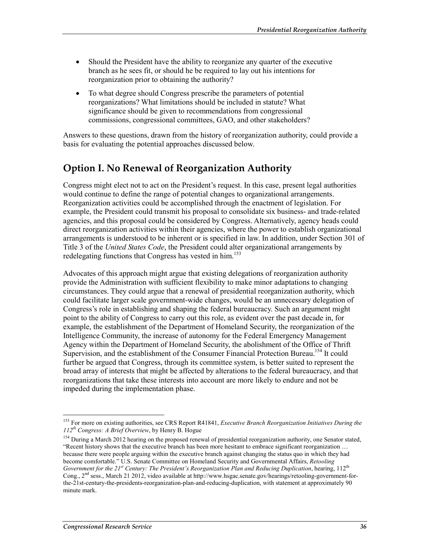- Should the President have the ability to reorganize any quarter of the executive branch as he sees fit, or should he be required to lay out his intentions for reorganization prior to obtaining the authority?
- To what degree should Congress prescribe the parameters of potential reorganizations? What limitations should be included in statute? What significance should be given to recommendations from congressional commissions, congressional committees, GAO, and other stakeholders?

Answers to these questions, drawn from the history of reorganization authority, could provide a basis for evaluating the potential approaches discussed below.

### **Option I. No Renewal of Reorganization Authority**

Congress might elect not to act on the President's request. In this case, present legal authorities would continue to define the range of potential changes to organizational arrangements. Reorganization activities could be accomplished through the enactment of legislation. For example, the President could transmit his proposal to consolidate six business- and trade-related agencies, and this proposal could be considered by Congress. Alternatively, agency heads could direct reorganization activities within their agencies, where the power to establish organizational arrangements is understood to be inherent or is specified in law. In addition, under Section 301 of Title 3 of the *United States Code*, the President could alter organizational arrangements by redelegating functions that Congress has vested in him.<sup>153</sup>

Advocates of this approach might argue that existing delegations of reorganization authority provide the Administration with sufficient flexibility to make minor adaptations to changing circumstances. They could argue that a renewal of presidential reorganization authority, which could facilitate larger scale government-wide changes, would be an unnecessary delegation of Congress's role in establishing and shaping the federal bureaucracy. Such an argument might point to the ability of Congress to carry out this role, as evident over the past decade in, for example, the establishment of the Department of Homeland Security, the reorganization of the Intelligence Community, the increase of autonomy for the Federal Emergency Management Agency within the Department of Homeland Security, the abolishment of the Office of Thrift Supervision, and the establishment of the Consumer Financial Protection Bureau.<sup>154</sup> It could further be argued that Congress, through its committee system, is better suited to represent the broad array of interests that might be affected by alterations to the federal bureaucracy, and that reorganizations that take these interests into account are more likely to endure and not be impeded during the implementation phase.

<sup>1</sup> 153 For more on existing authorities, see CRS Report R41841, *Executive Branch Reorganization Initiatives During the 112th Congress: A Brief Overview*, by Henry B. Hogue

<sup>&</sup>lt;sup>154</sup> During a March 2012 hearing on the proposed renewal of presidential reorganization authority, one Senator stated, "Recent history shows that the executive branch has been more hesitant to embrace significant reorganization … because there were people arguing within the executive branch against changing the status quo in which they had become comfortable." U.S. Senate Committee on Homeland Security and Governmental Affairs, *Retooling Government for the 21<sup>st</sup> Century: The President's Reorganization Plan and Reducing Duplication*, hearing, 112<sup>th</sup> Cong., 2<sup>nd</sup> sess., March 21 2012, video available at http://www.hsgac.senate.gov/hearings/retooling-government-forthe-21st-century-the-presidents-reorganization-plan-and-reducing-duplication, with statement at approximately 90 minute mark.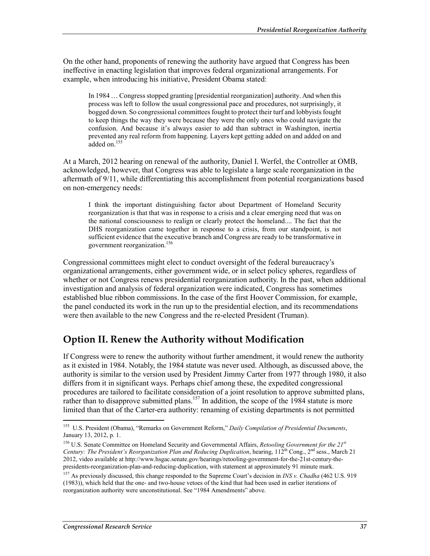On the other hand, proponents of renewing the authority have argued that Congress has been ineffective in enacting legislation that improves federal organizational arrangements. For example, when introducing his initiative, President Obama stated:

In 1984 … Congress stopped granting [presidential reorganization] authority. And when this process was left to follow the usual congressional pace and procedures, not surprisingly, it bogged down. So congressional committees fought to protect their turf and lobbyists fought to keep things the way they were because they were the only ones who could navigate the confusion. And because it's always easier to add than subtract in Washington, inertia prevented any real reform from happening. Layers kept getting added on and added on and added on. $155$ 

At a March, 2012 hearing on renewal of the authority, Daniel I. Werfel, the Controller at OMB, acknowledged, however, that Congress was able to legislate a large scale reorganization in the aftermath of 9/11, while differentiating this accomplishment from potential reorganizations based on non-emergency needs:

I think the important distinguishing factor about Department of Homeland Security reorganization is that that was in response to a crisis and a clear emerging need that was on the national consciousness to realign or clearly protect the homeland.... The fact that the DHS reorganization came together in response to a crisis, from our standpoint, is not sufficient evidence that the executive branch and Congress are ready to be transformative in government reorganization.156

Congressional committees might elect to conduct oversight of the federal bureaucracy's organizational arrangements, either government wide, or in select policy spheres, regardless of whether or not Congress renews presidential reorganization authority. In the past, when additional investigation and analysis of federal organization were indicated, Congress has sometimes established blue ribbon commissions. In the case of the first Hoover Commission, for example, the panel conducted its work in the run up to the presidential election, and its recommendations were then available to the new Congress and the re-elected President (Truman).

### **Option II. Renew the Authority without Modification**

If Congress were to renew the authority without further amendment, it would renew the authority as it existed in 1984. Notably, the 1984 statute was never used. Although, as discussed above, the authority is similar to the version used by President Jimmy Carter from 1977 through 1980, it also differs from it in significant ways. Perhaps chief among these, the expedited congressional procedures are tailored to facilitate consideration of a joint resolution to approve submitted plans, rather than to disapprove submitted plans.<sup>157</sup> In addition, the scope of the 1984 statute is more limited than that of the Carter-era authority: renaming of existing departments is not permitted

<sup>155</sup> U.S. President (Obama), "Remarks on Government Reform," *Daily Compilation of Presidential Documents*, January 13, 2012, p. 1.

<sup>156</sup> U.S. Senate Committee on Homeland Security and Governmental Affairs, *Retooling Government for the 21st Century: The President's Reorganization Plan and Reducing Duplication*, hearing, 112th Cong., 2nd sess., March 21 2012, video available at http://www.hsgac.senate.gov/hearings/retooling-government-for-the-21st-century-thepresidents-reorganization-plan-and-reducing-duplication, with statement at approximately 91 minute mark.

<sup>157</sup> As previously discussed, this change responded to the Supreme Court's decision in *INS v. Chadha* (462 U.S. 919 (1983)), which held that the one- and two-house vetoes of the kind that had been used in earlier iterations of reorganization authority were unconstitutional. See "1984 Amendments" above.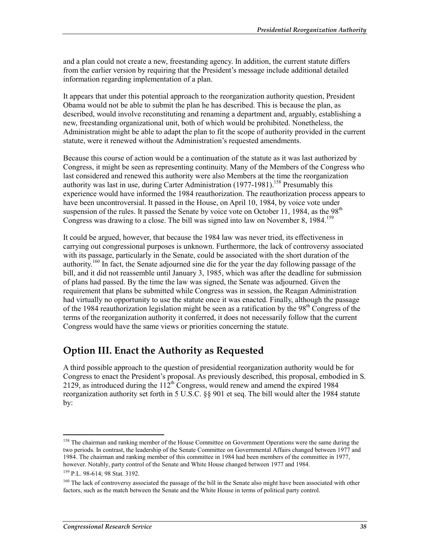and a plan could not create a new, freestanding agency. In addition, the current statute differs from the earlier version by requiring that the President's message include additional detailed information regarding implementation of a plan.

It appears that under this potential approach to the reorganization authority question, President Obama would not be able to submit the plan he has described. This is because the plan, as described, would involve reconstituting and renaming a department and, arguably, establishing a new, freestanding organizational unit, both of which would be prohibited. Nonetheless, the Administration might be able to adapt the plan to fit the scope of authority provided in the current statute, were it renewed without the Administration's requested amendments.

Because this course of action would be a continuation of the statute as it was last authorized by Congress, it might be seen as representing continuity. Many of the Members of the Congress who last considered and renewed this authority were also Members at the time the reorganization authority was last in use, during Carter Administration  $(1977-1981)$ <sup>158</sup> Presumably this experience would have informed the 1984 reauthorization. The reauthorization process appears to have been uncontroversial. It passed in the House, on April 10, 1984, by voice vote under suspension of the rules. It passed the Senate by voice vote on October 11, 1984, as the 98<sup>th</sup> Congress was drawing to a close. The bill was signed into law on November 8, 1984.<sup>159</sup>

It could be argued, however, that because the 1984 law was never tried, its effectiveness in carrying out congressional purposes is unknown. Furthermore, the lack of controversy associated with its passage, particularly in the Senate, could be associated with the short duration of the authority.<sup>160</sup> In fact, the Senate adjourned sine die for the year the day following passage of the bill, and it did not reassemble until January 3, 1985, which was after the deadline for submission of plans had passed. By the time the law was signed, the Senate was adjourned. Given the requirement that plans be submitted while Congress was in session, the Reagan Administration had virtually no opportunity to use the statute once it was enacted. Finally, although the passage of the 1984 reauthorization legislation might be seen as a ratification by the  $98<sup>th</sup>$  Congress of the terms of the reorganization authority it conferred, it does not necessarily follow that the current Congress would have the same views or priorities concerning the statute.

### **Option III. Enact the Authority as Requested**

A third possible approach to the question of presidential reorganization authority would be for Congress to enact the President's proposal. As previously described, this proposal, embodied in S. 2129, as introduced during the  $112<sup>th</sup>$  Congress, would renew and amend the expired 1984 reorganization authority set forth in 5 U.S.C. §§ 901 et seq. The bill would alter the 1984 statute by:

<sup>&</sup>lt;sup>158</sup> The chairman and ranking member of the House Committee on Government Operations were the same during the two periods. In contrast, the leadership of the Senate Committee on Governmental Affairs changed between 1977 and 1984. The chairman and ranking member of this committee in 1984 had been members of the committee in 1977, however. Notably, party control of the Senate and White House changed between 1977 and 1984.

<sup>159</sup> P.L. 98-614; 98 Stat. 3192.

<sup>&</sup>lt;sup>160</sup> The lack of controversy associated the passage of the bill in the Senate also might have been associated with other factors, such as the match between the Senate and the White House in terms of political party control.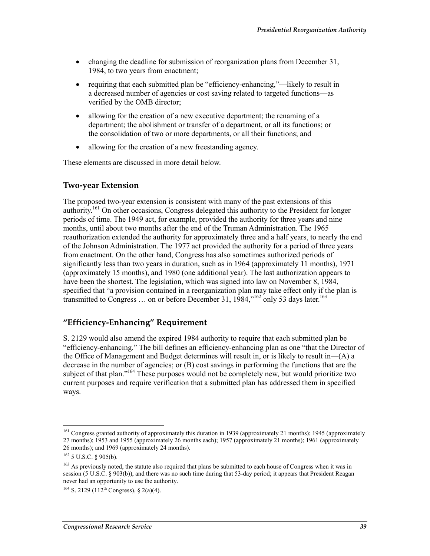- changing the deadline for submission of reorganization plans from December 31, 1984, to two years from enactment;
- requiring that each submitted plan be "efficiency-enhancing,"—likely to result in a decreased number of agencies or cost saving related to targeted functions—as verified by the OMB director;
- allowing for the creation of a new executive department; the renaming of a department; the abolishment or transfer of a department, or all its functions; or the consolidation of two or more departments, or all their functions; and
- allowing for the creation of a new freestanding agency.

These elements are discussed in more detail below.

#### **Two-year Extension**

The proposed two-year extension is consistent with many of the past extensions of this authority.<sup>161</sup> On other occasions, Congress delegated this authority to the President for longer periods of time. The 1949 act, for example, provided the authority for three years and nine months, until about two months after the end of the Truman Administration. The 1965 reauthorization extended the authority for approximately three and a half years, to nearly the end of the Johnson Administration. The 1977 act provided the authority for a period of three years from enactment. On the other hand, Congress has also sometimes authorized periods of significantly less than two years in duration, such as in 1964 (approximately 11 months), 1971 (approximately 15 months), and 1980 (one additional year). The last authorization appears to have been the shortest. The legislation, which was signed into law on November 8, 1984, specified that "a provision contained in a reorganization plan may take effect only if the plan is transmitted to Congress  $\ldots$  on or before December 31, 1984,"<sup>162</sup> only 53 days later.<sup>163</sup>

#### **"Efficiency-Enhancing" Requirement**

S. 2129 would also amend the expired 1984 authority to require that each submitted plan be "efficiency-enhancing." The bill defines an efficiency-enhancing plan as one "that the Director of the Office of Management and Budget determines will result in, or is likely to result in—(A) a decrease in the number of agencies; or (B) cost savings in performing the functions that are the subject of that plan."<sup>164</sup> These purposes would not be completely new, but would prioritize two current purposes and require verification that a submitted plan has addressed them in specified ways.

<sup>&</sup>lt;sup>161</sup> Congress granted authority of approximately this duration in 1939 (approximately 21 months); 1945 (approximately 27 months); 1953 and 1955 (approximately 26 months each); 1957 (approximately 21 months); 1961 (approximately 26 months); and 1969 (approximately 24 months).

<sup>162 5</sup> U.S.C. § 905(b).

<sup>&</sup>lt;sup>163</sup> As previously noted, the statute also required that plans be submitted to each house of Congress when it was in session (5 U.S.C. § 903(b)), and there was no such time during that 53-day period; it appears that President Reagan never had an opportunity to use the authority.

<sup>&</sup>lt;sup>164</sup> S. 2129 (112<sup>th</sup> Congress), § 2(a)(4).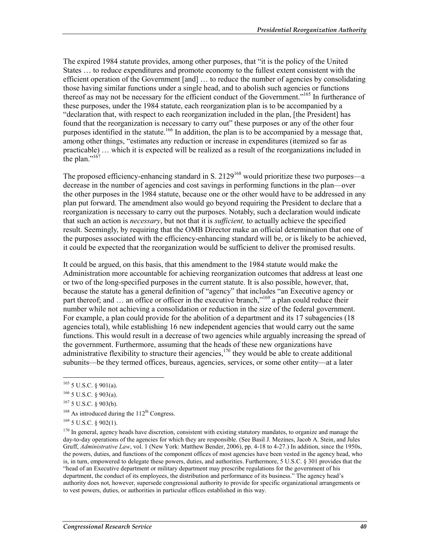The expired 1984 statute provides, among other purposes, that "it is the policy of the United States … to reduce expenditures and promote economy to the fullest extent consistent with the efficient operation of the Government [and] … to reduce the number of agencies by consolidating those having similar functions under a single head, and to abolish such agencies or functions thereof as may not be necessary for the efficient conduct of the Government."<sup>165</sup> In furtherance of these purposes, under the 1984 statute, each reorganization plan is to be accompanied by a "declaration that, with respect to each reorganization included in the plan, [the President] has found that the reorganization is necessary to carry out" these purposes or any of the other four purposes identified in the statute.<sup>166</sup> In addition, the plan is to be accompanied by a message that, among other things, "estimates any reduction or increase in expenditures (itemized so far as practicable) … which it is expected will be realized as a result of the reorganizations included in the plan."<sup>167</sup>

The proposed efficiency-enhancing standard in S. 2129<sup>168</sup> would prioritize these two purposes—a decrease in the number of agencies and cost savings in performing functions in the plan—over the other purposes in the 1984 statute, because one or the other would have to be addressed in any plan put forward. The amendment also would go beyond requiring the President to declare that a reorganization is necessary to carry out the purposes. Notably, such a declaration would indicate that such an action is *necessary*, but not that it is *sufficient,* to actually achieve the specified result. Seemingly, by requiring that the OMB Director make an official determination that one of the purposes associated with the efficiency-enhancing standard will be, or is likely to be achieved, it could be expected that the reorganization would be sufficient to deliver the promised results.

It could be argued, on this basis, that this amendment to the 1984 statute would make the Administration more accountable for achieving reorganization outcomes that address at least one or two of the long-specified purposes in the current statute. It is also possible, however, that, because the statute has a general definition of "agency" that includes "an Executive agency or part thereof; and ... an office or officer in the executive branch,"<sup>169</sup> a plan could reduce their number while not achieving a consolidation or reduction in the size of the federal government. For example, a plan could provide for the abolition of a department and its 17 subagencies (18) agencies total), while establishing 16 new independent agencies that would carry out the same functions. This would result in a decrease of two agencies while arguably increasing the spread of the government. Furthermore, assuming that the heads of these new organizations have administrative flexibility to structure their agencies,  $170$  they would be able to create additional subunits—be they termed offices, bureaus, agencies, services, or some other entity—at a later

<u>.</u>

 $165$  5 U.S.C. § 901(a).

 $166$  5 U.S.C. § 903(a).

<sup>167 5</sup> U.S.C. § 903(b).

 $168$  As introduced during the  $112<sup>th</sup>$  Congress.

 $169$  5 U.S.C. § 902(1).

<sup>&</sup>lt;sup>170</sup> In general, agency heads have discretion, consistent with existing statutory mandates, to organize and manage the day-to-day operations of the agencies for which they are responsible. (See Basil J. Mezines, Jacob A. Stein, and Jules Gruff, *Administrative Law*, vol. 1 (New York: Matthew Bender, 2006), pp. 4-18 to 4-27.) In addition, since the 1950s, the powers, duties, and functions of the component offices of most agencies have been vested in the agency head, who is, in turn, empowered to delegate these powers, duties, and authorities. Furthermore, 5 U.S.C. § 301 provides that the "head of an Executive department or military department may prescribe regulations for the government of his department, the conduct of its employees, the distribution and performance of its business." The agency head's authority does not, however, supersede congressional authority to provide for specific organizational arrangements or to vest powers, duties, or authorities in particular offices established in this way.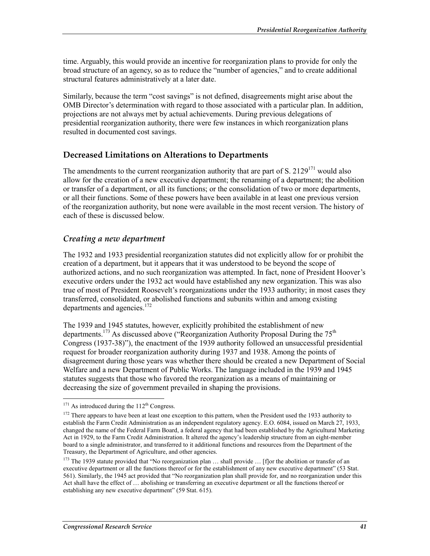time. Arguably, this would provide an incentive for reorganization plans to provide for only the broad structure of an agency, so as to reduce the "number of agencies," and to create additional structural features administratively at a later date.

Similarly, because the term "cost savings" is not defined, disagreements might arise about the OMB Director's determination with regard to those associated with a particular plan. In addition, projections are not always met by actual achievements. During previous delegations of presidential reorganization authority, there were few instances in which reorganization plans resulted in documented cost savings.

### **Decreased Limitations on Alterations to Departments**

The amendments to the current reorganization authority that are part of S. 2129<sup>171</sup> would also allow for the creation of a new executive department; the renaming of a department; the abolition or transfer of a department, or all its functions; or the consolidation of two or more departments, or all their functions. Some of these powers have been available in at least one previous version of the reorganization authority, but none were available in the most recent version. The history of each of these is discussed below.

### *Creating a new department*

The 1932 and 1933 presidential reorganization statutes did not explicitly allow for or prohibit the creation of a department, but it appears that it was understood to be beyond the scope of authorized actions, and no such reorganization was attempted. In fact, none of President Hoover's executive orders under the 1932 act would have established any new organization. This was also true of most of President Roosevelt's reorganizations under the 1933 authority; in most cases they transferred, consolidated, or abolished functions and subunits within and among existing departments and agencies.<sup>172</sup>

The 1939 and 1945 statutes, however, explicitly prohibited the establishment of new departments.<sup>173</sup> As discussed above ("Reorganization Authority Proposal During the  $75<sup>th</sup>$ Congress (1937-38)"), the enactment of the 1939 authority followed an unsuccessful presidential request for broader reorganization authority during 1937 and 1938. Among the points of disagreement during those years was whether there should be created a new Department of Social Welfare and a new Department of Public Works. The language included in the 1939 and 1945 statutes suggests that those who favored the reorganization as a means of maintaining or decreasing the size of government prevailed in shaping the provisions.

<sup>1</sup>  $171$  As introduced during the  $112<sup>th</sup>$  Congress.

<sup>&</sup>lt;sup>172</sup> There appears to have been at least one exception to this pattern, when the President used the 1933 authority to establish the Farm Credit Administration as an independent regulatory agency. E.O. 6084, issued on March 27, 1933, changed the name of the Federal Farm Board, a federal agency that had been established by the Agricultural Marketing Act in 1929, to the Farm Credit Administration. It altered the agency's leadership structure from an eight-member board to a single administrator, and transferred to it additional functions and resources from the Department of the Treasury, the Department of Agriculture, and other agencies.

<sup>&</sup>lt;sup>173</sup> The 1939 statute provided that "No reorganization plan  $\ldots$  shall provide  $\ldots$  [f]or the abolition or transfer of an executive department or all the functions thereof or for the establishment of any new executive department" (53 Stat. 561). Similarly, the 1945 act provided that "No reorganization plan shall provide for, and no reorganization under this Act shall have the effect of … abolishing or transferring an executive department or all the functions thereof or establishing any new executive department" (59 Stat. 615).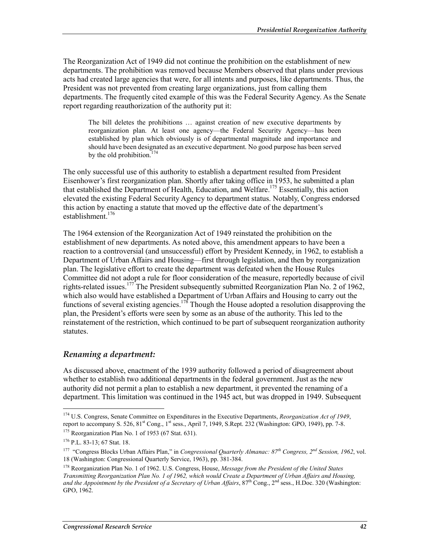The Reorganization Act of 1949 did not continue the prohibition on the establishment of new departments. The prohibition was removed because Members observed that plans under previous acts had created large agencies that were, for all intents and purposes, like departments. Thus, the President was not prevented from creating large organizations, just from calling them departments. The frequently cited example of this was the Federal Security Agency. As the Senate report regarding reauthorization of the authority put it:

The bill deletes the prohibitions … against creation of new executive departments by reorganization plan. At least one agency—the Federal Security Agency—has been established by plan which obviously is of departmental magnitude and importance and should have been designated as an executive department. No good purpose has been served by the old prohibition.<sup>174</sup>

The only successful use of this authority to establish a department resulted from President Eisenhower's first reorganization plan. Shortly after taking office in 1953, he submitted a plan that established the Department of Health, Education, and Welfare.175 Essentially, this action elevated the existing Federal Security Agency to department status. Notably, Congress endorsed this action by enacting a statute that moved up the effective date of the department's establishment.<sup>176</sup>

The 1964 extension of the Reorganization Act of 1949 reinstated the prohibition on the establishment of new departments. As noted above, this amendment appears to have been a reaction to a controversial (and unsuccessful) effort by President Kennedy, in 1962, to establish a Department of Urban Affairs and Housing—first through legislation, and then by reorganization plan. The legislative effort to create the department was defeated when the House Rules Committee did not adopt a rule for floor consideration of the measure, reportedly because of civil rights-related issues.<sup>177</sup> The President subsequently submitted Reorganization Plan No. 2 of 1962, which also would have established a Department of Urban Affairs and Housing to carry out the functions of several existing agencies.<sup>178</sup> Though the House adopted a resolution disapproving the plan, the President's efforts were seen by some as an abuse of the authority. This led to the reinstatement of the restriction, which continued to be part of subsequent reorganization authority statutes.

#### *Renaming a department:*

As discussed above, enactment of the 1939 authority followed a period of disagreement about whether to establish two additional departments in the federal government. Just as the new authority did not permit a plan to establish a new department, it prevented the renaming of a department. This limitation was continued in the 1945 act, but was dropped in 1949. Subsequent

<sup>174</sup> U.S. Congress, Senate Committee on Expenditures in the Executive Departments, *Reorganization Act of 1949*, report to accompany S. 526, 81<sup>st</sup> Cong., 1<sup>st</sup> sess., April 7, 1949, S.Rept. 232 (Washington: GPO, 1949), pp. 7-8.

<sup>&</sup>lt;sup>175</sup> Reorganization Plan No. 1 of 1953 (67 Stat. 631).

<sup>176</sup> P.L. 83-13; 67 Stat. 18.

<sup>177 &</sup>quot;Congress Blocks Urban Affairs Plan," in *Congressional Quarterly Almanac: 87th Congress, 2nd Session, 1962*, vol. 18 (Washington: Congressional Quarterly Service, 1963), pp. 381-384.

<sup>178</sup> Reorganization Plan No. 1 of 1962. U.S. Congress, House, *Message from the President of the United States Transmitting Reorganization Plan No. 1 of 1962, which would Create a Department of Urban Affairs and Housing,*  and the Appointment by the President of a Secretary of Urban Affairs, 87<sup>th</sup> Cong., 2<sup>nd</sup> sess., H.Doc. 320 (Washington: GPO, 1962.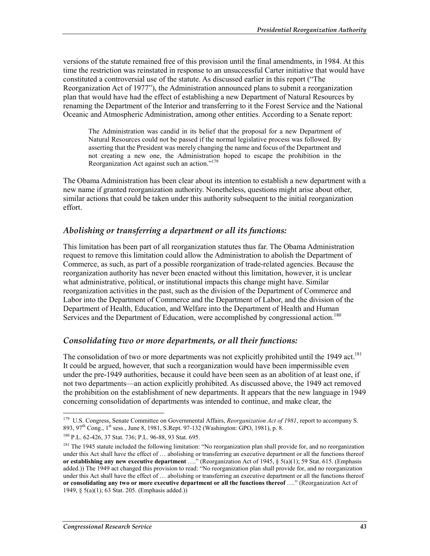versions of the statute remained free of this provision until the final amendments, in 1984. At this time the restriction was reinstated in response to an unsuccessful Carter initiative that would have constituted a controversial use of the statute. As discussed earlier in this report ("The Reorganization Act of 1977"), the Administration announced plans to submit a reorganization plan that would have had the effect of establishing a new Department of Natural Resources by renaming the Department of the Interior and transferring to it the Forest Service and the National Oceanic and Atmospheric Administration, among other entities. According to a Senate report:

The Administration was candid in its belief that the proposal for a new Department of Natural Resources could not be passed if the normal legislative process was followed. By asserting that the President was merely changing the name and focus of the Department and not creating a new one, the Administration hoped to escape the prohibition in the Reorganization Act against such an action."179

The Obama Administration has been clear about its intention to establish a new department with a new name if granted reorganization authority. Nonetheless, questions might arise about other, similar actions that could be taken under this authority subsequent to the initial reorganization effort.

### *Abolishing or transferring a department or all its functions:*

This limitation has been part of all reorganization statutes thus far. The Obama Administration request to remove this limitation could allow the Administration to abolish the Department of Commerce, as such, as part of a possible reorganization of trade-related agencies. Because the reorganization authority has never been enacted without this limitation, however, it is unclear what administrative, political, or institutional impacts this change might have. Similar reorganization activities in the past, such as the division of the Department of Commerce and Labor into the Department of Commerce and the Department of Labor, and the division of the Department of Health, Education, and Welfare into the Department of Health and Human Services and the Department of Education, were accomplished by congressional action.<sup>180</sup>

#### *Consolidating two or more departments, or all their functions:*

The consolidation of two or more departments was not explicitly prohibited until the 1949 act.<sup>181</sup> It could be argued, however, that such a reorganization would have been impermissible even under the pre-1949 authorities, because it could have been seen as an abolition of at least one, if not two departments—an action explicitly prohibited. As discussed above, the 1949 act removed the prohibition on the establishment of new departments. It appears that the new language in 1949 concerning consolidation of departments was intended to continue, and make clear, the

<sup>&</sup>lt;sup>179</sup> U.S. Congress, Senate Committee on Governmental Affairs, *Reorganization Act of 1981*, report to accompany S. 893, 97<sup>th</sup> Cong., 1<sup>st</sup> sess., June 8, 1981, S.Rept. 97-132 (Washington: GPO, 1981), p. 8.

<sup>180</sup> P.L. 62-426, 37 Stat. 736; P.L. 96-88, 93 Stat. 695.

<sup>&</sup>lt;sup>181</sup> The 1945 statute included the following limitation: "No reorganization plan shall provide for, and no reorganization under this Act shall have the effect of … abolishing or transferring an executive department or all the functions thereof **or establishing any new executive department** …." (Reorganization Act of 1945, § 5(a)(1); 59 Stat. 615. (Emphasis added.)) The 1949 act changed this provision to read: "No reorganization plan shall provide for, and no reorganization under this Act shall have the effect of … abolishing or transferring an executive department or all the functions thereof **or consolidating any two or more executive department or all the functions thereof** …." (Reorganization Act of 1949, § 5(a)(1); 63 Stat. 205. (Emphasis added.))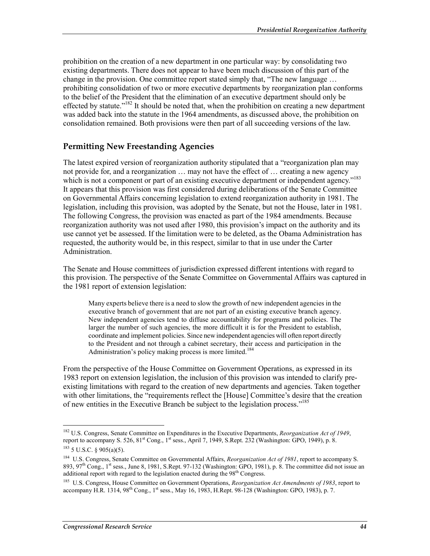prohibition on the creation of a new department in one particular way: by consolidating two existing departments. There does not appear to have been much discussion of this part of the change in the provision. One committee report stated simply that, "The new language … prohibiting consolidation of two or more executive departments by reorganization plan conforms to the belief of the President that the elimination of an executive department should only be effected by statute.<sup>"182</sup> It should be noted that, when the prohibition on creating a new department was added back into the statute in the 1964 amendments, as discussed above, the prohibition on consolidation remained. Both provisions were then part of all succeeding versions of the law.

### **Permitting New Freestanding Agencies**

The latest expired version of reorganization authority stipulated that a "reorganization plan may not provide for, and a reorganization … may not have the effect of … creating a new agency which is not a component or part of an existing executive department or independent agency."<sup>183</sup> It appears that this provision was first considered during deliberations of the Senate Committee on Governmental Affairs concerning legislation to extend reorganization authority in 1981. The legislation, including this provision, was adopted by the Senate, but not the House, later in 1981. The following Congress, the provision was enacted as part of the 1984 amendments. Because reorganization authority was not used after 1980, this provision's impact on the authority and its use cannot yet be assessed. If the limitation were to be deleted, as the Obama Administration has requested, the authority would be, in this respect, similar to that in use under the Carter Administration.

The Senate and House committees of jurisdiction expressed different intentions with regard to this provision. The perspective of the Senate Committee on Governmental Affairs was captured in the 1981 report of extension legislation:

Many experts believe there is a need to slow the growth of new independent agencies in the executive branch of government that are not part of an existing executive branch agency. New independent agencies tend to diffuse accountability for programs and policies. The larger the number of such agencies, the more difficult it is for the President to establish, coordinate and implement policies. Since new independent agencies will often report directly to the President and not through a cabinet secretary, their access and participation in the Administration's policy making process is more limited.<sup>184</sup>

From the perspective of the House Committee on Government Operations, as expressed in its 1983 report on extension legislation, the inclusion of this provision was intended to clarify preexisting limitations with regard to the creation of new departments and agencies. Taken together with other limitations, the "requirements reflect the [House] Committee's desire that the creation of new entities in the Executive Branch be subject to the legislation process."185

<sup>182</sup> U.S. Congress, Senate Committee on Expenditures in the Executive Departments, *Reorganization Act of 1949*, report to accompany S. 526,  $81^{\text{st}}$  Cong.,  $1^{\text{st}}$  sess., April 7, 1949, S.Rept. 232 (Washington: GPO, 1949), p. 8.  $183$  5 U.S.C. § 905(a)(5).

<sup>184</sup> U.S. Congress, Senate Committee on Governmental Affairs, *Reorganization Act of 1981*, report to accompany S. 893, 97<sup>th</sup> Cong., 1<sup>st</sup> sess., June 8, 1981, S.Rept. 97-132 (Washington: GPO, 1981), p. 8. The committee did not issue an additional report with regard to the legislation enacted during the 98<sup>th</sup> Congress.

<sup>185</sup> U.S. Congress, House Committee on Government Operations, *Reorganization Act Amendments of 1983*, report to accompany H.R. 1314,  $98^{th}$  Cong.,  $1^{st}$  sess., May 16, 1983, H.Rept. 98-128 (Washington: GPO, 1983), p. 7.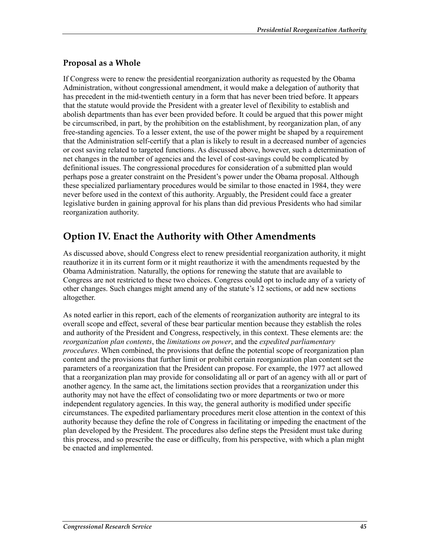### **Proposal as a Whole**

If Congress were to renew the presidential reorganization authority as requested by the Obama Administration, without congressional amendment, it would make a delegation of authority that has precedent in the mid-twentieth century in a form that has never been tried before. It appears that the statute would provide the President with a greater level of flexibility to establish and abolish departments than has ever been provided before. It could be argued that this power might be circumscribed, in part, by the prohibition on the establishment, by reorganization plan, of any free-standing agencies. To a lesser extent, the use of the power might be shaped by a requirement that the Administration self-certify that a plan is likely to result in a decreased number of agencies or cost saving related to targeted functions. As discussed above, however, such a determination of net changes in the number of agencies and the level of cost-savings could be complicated by definitional issues. The congressional procedures for consideration of a submitted plan would perhaps pose a greater constraint on the President's power under the Obama proposal. Although these specialized parliamentary procedures would be similar to those enacted in 1984, they were never before used in the context of this authority. Arguably, the President could face a greater legislative burden in gaining approval for his plans than did previous Presidents who had similar reorganization authority.

### **Option IV. Enact the Authority with Other Amendments**

As discussed above, should Congress elect to renew presidential reorganization authority, it might reauthorize it in its current form or it might reauthorize it with the amendments requested by the Obama Administration. Naturally, the options for renewing the statute that are available to Congress are not restricted to these two choices. Congress could opt to include any of a variety of other changes. Such changes might amend any of the statute's 12 sections, or add new sections altogether.

As noted earlier in this report, each of the elements of reorganization authority are integral to its overall scope and effect, several of these bear particular mention because they establish the roles and authority of the President and Congress, respectively, in this context. These elements are: the *reorganization plan contents*, the *limitations on power*, and the *expedited parliamentary procedures*. When combined, the provisions that define the potential scope of reorganization plan content and the provisions that further limit or prohibit certain reorganization plan content set the parameters of a reorganization that the President can propose. For example, the 1977 act allowed that a reorganization plan may provide for consolidating all or part of an agency with all or part of another agency. In the same act, the limitations section provides that a reorganization under this authority may not have the effect of consolidating two or more departments or two or more independent regulatory agencies. In this way, the general authority is modified under specific circumstances. The expedited parliamentary procedures merit close attention in the context of this authority because they define the role of Congress in facilitating or impeding the enactment of the plan developed by the President. The procedures also define steps the President must take during this process, and so prescribe the ease or difficulty, from his perspective, with which a plan might be enacted and implemented.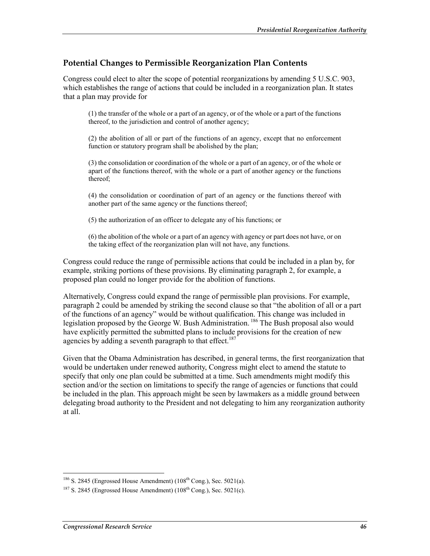### **Potential Changes to Permissible Reorganization Plan Contents**

Congress could elect to alter the scope of potential reorganizations by amending 5 U.S.C. 903, which establishes the range of actions that could be included in a reorganization plan. It states that a plan may provide for

(1) the transfer of the whole or a part of an agency, or of the whole or a part of the functions thereof, to the jurisdiction and control of another agency;

(2) the abolition of all or part of the functions of an agency, except that no enforcement function or statutory program shall be abolished by the plan;

(3) the consolidation or coordination of the whole or a part of an agency, or of the whole or apart of the functions thereof, with the whole or a part of another agency or the functions thereof;

(4) the consolidation or coordination of part of an agency or the functions thereof with another part of the same agency or the functions thereof;

(5) the authorization of an officer to delegate any of his functions; or

(6) the abolition of the whole or a part of an agency with agency or part does not have, or on the taking effect of the reorganization plan will not have, any functions.

Congress could reduce the range of permissible actions that could be included in a plan by, for example, striking portions of these provisions. By eliminating paragraph 2, for example, a proposed plan could no longer provide for the abolition of functions.

Alternatively, Congress could expand the range of permissible plan provisions. For example, paragraph 2 could be amended by striking the second clause so that "the abolition of all or a part of the functions of an agency" would be without qualification. This change was included in legislation proposed by the George W. Bush Administration. <sup>186</sup> The Bush proposal also would have explicitly permitted the submitted plans to include provisions for the creation of new agencies by adding a seventh paragraph to that effect.<sup>187</sup>

Given that the Obama Administration has described, in general terms, the first reorganization that would be undertaken under renewed authority, Congress might elect to amend the statute to specify that only one plan could be submitted at a time. Such amendments might modify this section and/or the section on limitations to specify the range of agencies or functions that could be included in the plan. This approach might be seen by lawmakers as a middle ground between delegating broad authority to the President and not delegating to him any reorganization authority at all.

 $186$  S. 2845 (Engrossed House Amendment) ( $108<sup>th</sup>$  Cong.), Sec. 5021(a).

 $187$  S. 2845 (Engrossed House Amendment) ( $108<sup>th</sup>$  Cong.), Sec. 5021(c).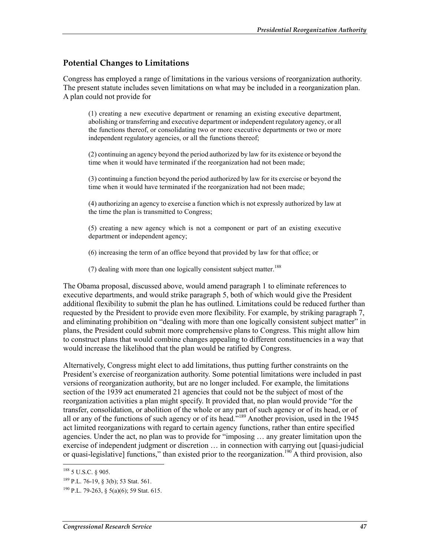### **Potential Changes to Limitations**

Congress has employed a range of limitations in the various versions of reorganization authority. The present statute includes seven limitations on what may be included in a reorganization plan. A plan could not provide for

(1) creating a new executive department or renaming an existing executive department, abolishing or transferring and executive department or independent regulatory agency, or all the functions thereof, or consolidating two or more executive departments or two or more independent regulatory agencies, or all the functions thereof;

(2) continuing an agency beyond the period authorized by law for its existence or beyond the time when it would have terminated if the reorganization had not been made;

(3) continuing a function beyond the period authorized by law for its exercise or beyond the time when it would have terminated if the reorganization had not been made;

(4) authorizing an agency to exercise a function which is not expressly authorized by law at the time the plan is transmitted to Congress;

(5) creating a new agency which is not a component or part of an existing executive department or independent agency;

(6) increasing the term of an office beyond that provided by law for that office; or

(7) dealing with more than one logically consistent subject matter.<sup>188</sup>

The Obama proposal, discussed above, would amend paragraph 1 to eliminate references to executive departments, and would strike paragraph 5, both of which would give the President additional flexibility to submit the plan he has outlined. Limitations could be reduced further than requested by the President to provide even more flexibility. For example, by striking paragraph 7, and eliminating prohibition on "dealing with more than one logically consistent subject matter" in plans, the President could submit more comprehensive plans to Congress. This might allow him to construct plans that would combine changes appealing to different constituencies in a way that would increase the likelihood that the plan would be ratified by Congress.

Alternatively, Congress might elect to add limitations, thus putting further constraints on the President's exercise of reorganization authority. Some potential limitations were included in past versions of reorganization authority, but are no longer included. For example, the limitations section of the 1939 act enumerated 21 agencies that could not be the subject of most of the reorganization activities a plan might specify. It provided that, no plan would provide "for the transfer, consolidation, or abolition of the whole or any part of such agency or of its head, or of all or any of the functions of such agency or of its head."<sup>189</sup> Another provision, used in the 1945 act limited reorganizations with regard to certain agency functions, rather than entire specified agencies. Under the act, no plan was to provide for "imposing … any greater limitation upon the exercise of independent judgment or discretion … in connection with carrying out [quasi-judicial or quasi-legislative] functions," than existed prior to the reorganization.<sup>190</sup> A third provision, also

<sup>1</sup> 188 5 U.S.C. § 905.

<sup>189</sup> P.L. 76-19, § 3(b); 53 Stat. 561.

<sup>&</sup>lt;sup>190</sup> P.L. 79-263, § 5(a)(6); 59 Stat. 615.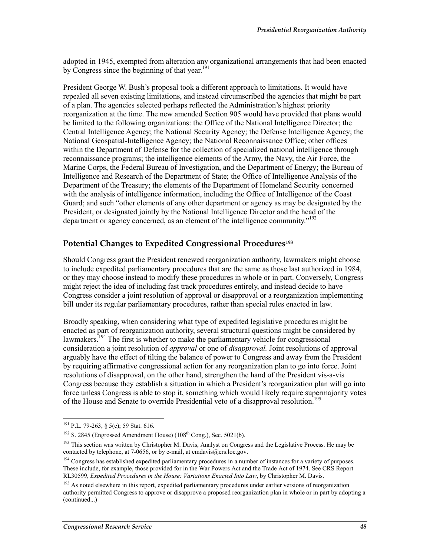adopted in 1945, exempted from alteration any organizational arrangements that had been enacted by Congress since the beginning of that year.<sup>191</sup>

President George W. Bush's proposal took a different approach to limitations. It would have repealed all seven existing limitations, and instead circumscribed the agencies that might be part of a plan. The agencies selected perhaps reflected the Administration's highest priority reorganization at the time. The new amended Section 905 would have provided that plans would be limited to the following organizations: the Office of the National Intelligence Director; the Central Intelligence Agency; the National Security Agency; the Defense Intelligence Agency; the National Geospatial-Intelligence Agency; the National Reconnaissance Office; other offices within the Department of Defense for the collection of specialized national intelligence through reconnaissance programs; the intelligence elements of the Army, the Navy, the Air Force, the Marine Corps, the Federal Bureau of Investigation, and the Department of Energy; the Bureau of Intelligence and Research of the Department of State; the Office of Intelligence Analysis of the Department of the Treasury; the elements of the Department of Homeland Security concerned with the analysis of intelligence information, including the Office of Intelligence of the Coast Guard; and such "other elements of any other department or agency as may be designated by the President, or designated jointly by the National Intelligence Director and the head of the department or agency concerned, as an element of the intelligence community."<sup>192</sup>

#### **Potential Changes to Expedited Congressional Procedures193**

Should Congress grant the President renewed reorganization authority, lawmakers might choose to include expedited parliamentary procedures that are the same as those last authorized in 1984, or they may choose instead to modify these procedures in whole or in part. Conversely, Congress might reject the idea of including fast track procedures entirely, and instead decide to have Congress consider a joint resolution of approval or disapproval or a reorganization implementing bill under its regular parliamentary procedures, rather than special rules enacted in law.

Broadly speaking, when considering what type of expedited legislative procedures might be enacted as part of reorganization authority, several structural questions might be considered by lawmakers.<sup>194</sup> The first is whether to make the parliamentary vehicle for congressional consideration a joint resolution of *approval* or one of *disapproval.* Joint resolutions of approval arguably have the effect of tilting the balance of power to Congress and away from the President by requiring affirmative congressional action for any reorganization plan to go into force. Joint resolutions of disapproval, on the other hand, strengthen the hand of the President vis-a-vis Congress because they establish a situation in which a President's reorganization plan will go into force unless Congress is able to stop it, something which would likely require supermajority votes of the House and Senate to override Presidential veto of a disapproval resolution.<sup>195</sup>

<sup>&</sup>lt;sup>191</sup> P.L. 79-263, § 5(e); 59 Stat. 616.

 $192$  S. 2845 (Engrossed Amendment House) ( $108<sup>th</sup>$  Cong.), Sec. 5021(b).

<sup>&</sup>lt;sup>193</sup> This section was written by Christopher M. Davis, Analyst on Congress and the Legislative Process. He may be contacted by telephone, at 7-0656, or by e-mail, at cmdavis@crs.loc.gov.

<sup>&</sup>lt;sup>194</sup> Congress has established expedited parliamentary procedures in a number of instances for a variety of purposes. These include, for example, those provided for in the War Powers Act and the Trade Act of 1974. See CRS Report RL30599, *Expedited Procedures in the House: Variations Enacted Into Law*, by Christopher M. Davis.

<sup>&</sup>lt;sup>195</sup> As noted elsewhere in this report, expedited parliamentary procedures under earlier versions of reorganization authority permitted Congress to approve or disapprove a proposed reorganization plan in whole or in part by adopting a (continued...)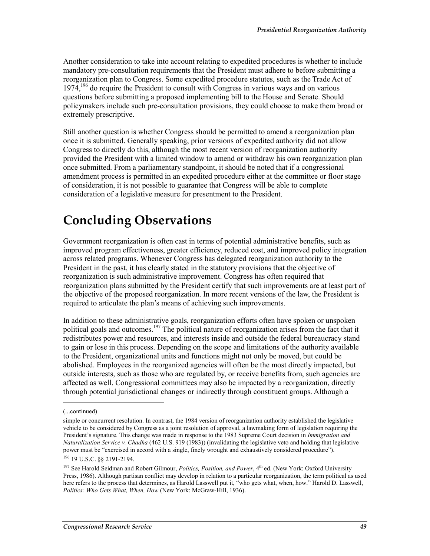Another consideration to take into account relating to expedited procedures is whether to include mandatory pre-consultation requirements that the President must adhere to before submitting a reorganization plan to Congress. Some expedited procedure statutes, such as the Trade Act of  $1974<sup>196</sup>$  do require the President to consult with Congress in various ways and on various questions before submitting a proposed implementing bill to the House and Senate. Should policymakers include such pre-consultation provisions, they could choose to make them broad or extremely prescriptive.

Still another question is whether Congress should be permitted to amend a reorganization plan once it is submitted. Generally speaking, prior versions of expedited authority did not allow Congress to directly do this, although the most recent version of reorganization authority provided the President with a limited window to amend or withdraw his own reorganization plan once submitted. From a parliamentary standpoint, it should be noted that if a congressional amendment process is permitted in an expedited procedure either at the committee or floor stage of consideration, it is not possible to guarantee that Congress will be able to complete consideration of a legislative measure for presentment to the President.

## **Concluding Observations**

Government reorganization is often cast in terms of potential administrative benefits, such as improved program effectiveness, greater efficiency, reduced cost, and improved policy integration across related programs. Whenever Congress has delegated reorganization authority to the President in the past, it has clearly stated in the statutory provisions that the objective of reorganization is such administrative improvement. Congress has often required that reorganization plans submitted by the President certify that such improvements are at least part of the objective of the proposed reorganization. In more recent versions of the law, the President is required to articulate the plan's means of achieving such improvements.

In addition to these administrative goals, reorganization efforts often have spoken or unspoken political goals and outcomes.<sup>197</sup> The political nature of reorganization arises from the fact that it redistributes power and resources, and interests inside and outside the federal bureaucracy stand to gain or lose in this process. Depending on the scope and limitations of the authority available to the President, organizational units and functions might not only be moved, but could be abolished. Employees in the reorganized agencies will often be the most directly impacted, but outside interests, such as those who are regulated by, or receive benefits from, such agencies are affected as well. Congressional committees may also be impacted by a reorganization, directly through potential jurisdictional changes or indirectly through constituent groups. Although a

 $\overline{a}$ 

<sup>(...</sup>continued)

simple or concurrent resolution. In contrast, the 1984 version of reorganization authority established the legislative vehicle to be considered by Congress as a joint resolution of approval, a lawmaking form of legislation requiring the President's signature. This change was made in response to the 1983 Supreme Court decision in *Immigration and Naturalization Service v. Chadha* (462 U.S. 919 (1983)) (invalidating the legislative veto and holding that legislative power must be "exercised in accord with a single, finely wrought and exhaustively considered procedure").

<sup>196 19</sup> U.S.C. §§ 2191-2194.

<sup>&</sup>lt;sup>197</sup> See Harold Seidman and Robert Gilmour, *Politics, Position, and Power*, 4<sup>th</sup> ed. (New York: Oxford University Press, 1986). Although partisan conflict may develop in relation to a particular reorganization, the term political as used here refers to the process that determines, as Harold Lasswell put it, "who gets what, when, how." Harold D. Lasswell, *Politics: Who Gets What, When, How* (New York: McGraw-Hill, 1936).